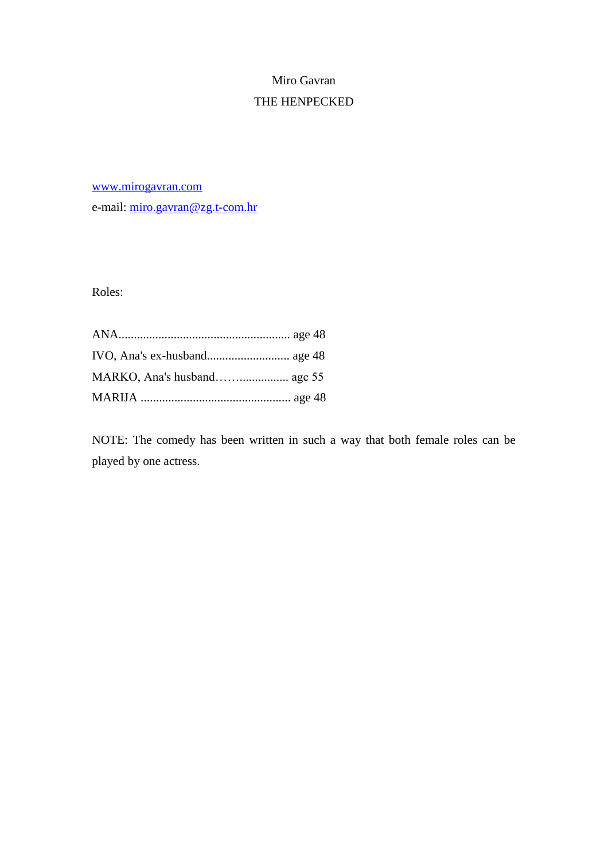# Miro Gavran THE HENPECKED

[www.mirogavran.com](http://www.mirogavran.com/)

e-mail: [miro.gavran@zg.t-com.hr](mailto:miro.gavran@zg.t-com.hr)

Roles:

NOTE: The comedy has been written in such a way that both female roles can be played by one actress.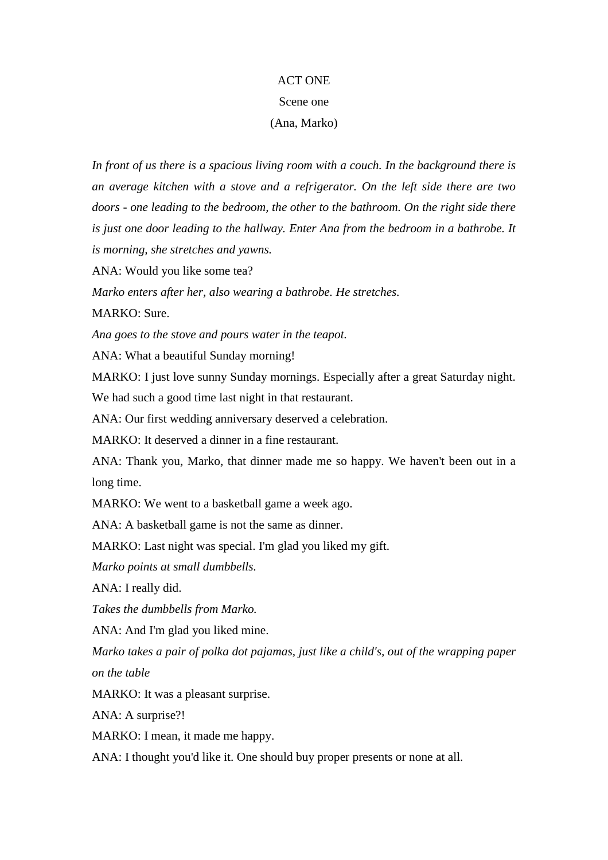#### ACT ONE

## Scene one

## (Ana, Marko)

*In front of us there is a spacious living room with a couch. In the background there is an average kitchen with a stove and a refrigerator. On the left side there are two doors - one leading to the bedroom, the other to the bathroom. On the right side there is just one door leading to the hallway. Enter Ana from the bedroom in a bathrobe. It is morning, she stretches and yawns.* 

ANA: Would you like some tea?

*Marko enters after her, also wearing a bathrobe. He stretches.*

MARKO: Sure.

*Ana goes to the stove and pours water in the teapot.*

ANA: What a beautiful Sunday morning!

MARKO: I just love sunny Sunday mornings. Especially after a great Saturday night.

We had such a good time last night in that restaurant.

ANA: Our first wedding anniversary deserved a celebration.

MARKO: It deserved a dinner in a fine restaurant.

ANA: Thank you, Marko, that dinner made me so happy. We haven't been out in a long time.

MARKO: We went to a basketball game a week ago.

ANA: A basketball game is not the same as dinner.

MARKO: Last night was special. I'm glad you liked my gift.

*Marko points at small dumbbells.*

ANA: I really did.

*Takes the dumbbells from Marko.*

ANA: And I'm glad you liked mine.

*Marko takes a pair of polka dot pajamas, just like a child's, out of the wrapping paper on the table*

MARKO: It was a pleasant surprise.

ANA: A surprise?!

MARKO: I mean, it made me happy.

ANA: I thought you'd like it. One should buy proper presents or none at all.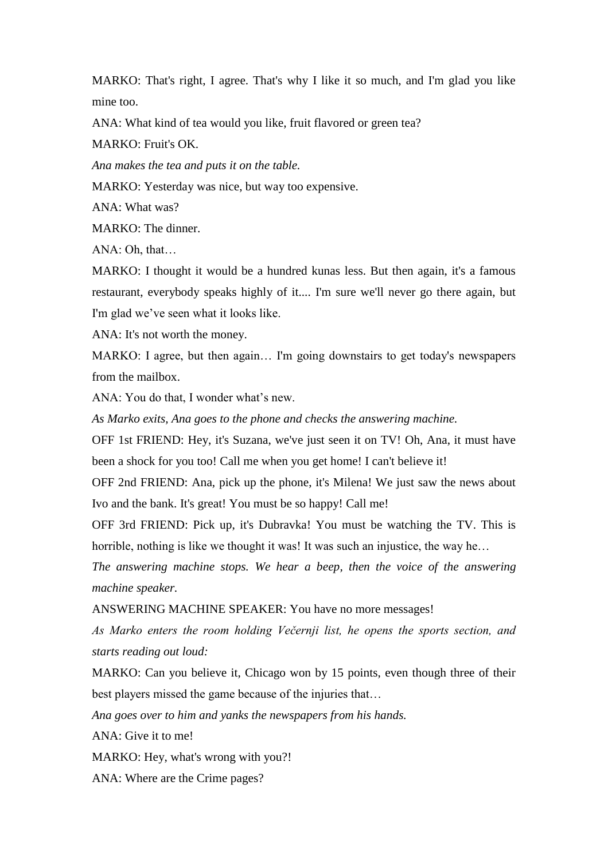MARKO: That's right, I agree. That's why I like it so much, and I'm glad you like mine too.

ANA: What kind of tea would you like, fruit flavored or green tea?

MARKO: Fruit's OK.

*Ana makes the tea and puts it on the table.*

MARKO: Yesterday was nice, but way too expensive.

ANA: What was?

MARKO: The dinner.

ANA: Oh, that…

MARKO: I thought it would be a hundred kunas less. But then again, it's a famous restaurant, everybody speaks highly of it.... I'm sure we'll never go there again, but I'm glad we've seen what it looks like.

ANA: It's not worth the money.

MARKO: I agree, but then again… I'm going downstairs to get today's newspapers from the mailbox.

ANA: You do that, I wonder what's new.

*As Marko exits, Ana goes to the phone and checks the answering machine.*

OFF 1st FRIEND: Hey, it's Suzana, we've just seen it on TV! Oh, Ana, it must have been a shock for you too! Call me when you get home! I can't believe it!

OFF 2nd FRIEND: Ana, pick up the phone, it's Milena! We just saw the news about Ivo and the bank. It's great! You must be so happy! Call me!

OFF 3rd FRIEND: Pick up, it's Dubravka! You must be watching the TV. This is horrible, nothing is like we thought it was! It was such an injustice, the way he…

*The answering machine stops. We hear a beep, then the voice of the answering machine speaker.* 

ANSWERING MACHINE SPEAKER: You have no more messages!

*As Marko enters the room holding Večernji list, he opens the sports section, and starts reading out loud:*

MARKO: Can you believe it, Chicago won by 15 points, even though three of their best players missed the game because of the injuries that…

*Ana goes over to him and yanks the newspapers from his hands.* 

ANA: Give it to me!

MARKO: Hey, what's wrong with you?!

ANA: Where are the Crime pages?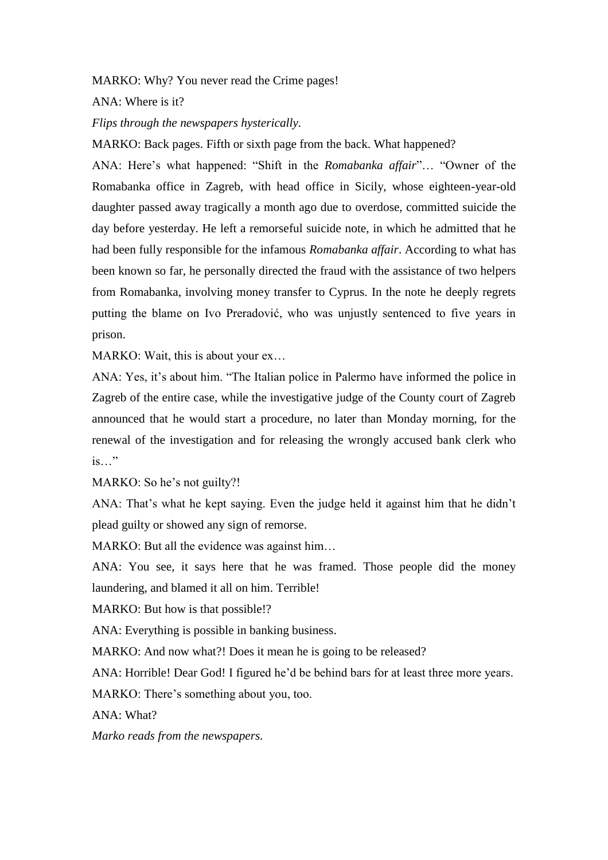## MARKO: Why? You never read the Crime pages!

ANA: Where is it?

*Flips through the newspapers hysterically.* 

MARKO: Back pages. Fifth or sixth page from the back. What happened?

ANA: Here's what happened: "Shift in the *Romabanka affair*"… "Owner of the Romabanka office in Zagreb, with head office in Sicily, whose eighteen-year-old daughter passed away tragically a month ago due to overdose, committed suicide the day before yesterday. He left a remorseful suicide note, in which he admitted that he had been fully responsible for the infamous *Romabanka affair*. According to what has been known so far, he personally directed the fraud with the assistance of two helpers from Romabanka, involving money transfer to Cyprus. In the note he deeply regrets putting the blame on Ivo Preradović, who was unjustly sentenced to five years in prison.

MARKO: Wait, this is about your ex...

ANA: Yes, it's about him. "The Italian police in Palermo have informed the police in Zagreb of the entire case, while the investigative judge of the County court of Zagreb announced that he would start a procedure, no later than Monday morning, for the renewal of the investigation and for releasing the wrongly accused bank clerk who is…"

MARKO: So he's not guilty?!

ANA: That's what he kept saying. Even the judge held it against him that he didn't plead guilty or showed any sign of remorse.

MARKO: But all the evidence was against him...

ANA: You see, it says here that he was framed. Those people did the money laundering, and blamed it all on him. Terrible!

MARKO: But how is that possible!?

ANA: Everything is possible in banking business.

MARKO: And now what?! Does it mean he is going to be released?

ANA: Horrible! Dear God! I figured he'd be behind bars for at least three more years.

MARKO: There's something about you, too.

ANA: What?

*Marko reads from the newspapers.*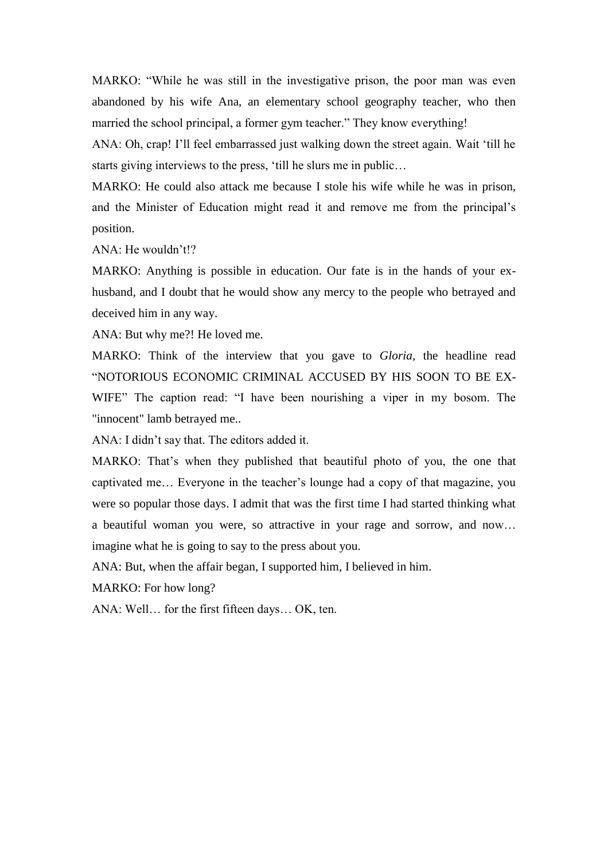MARKO: "While he was still in the investigative prison, the poor man was even abandoned by his wife Ana, an elementary school geography teacher, who then married the school principal, a former gym teacher." They know everything!

ANA: Oh, crap! I'll feel embarrassed just walking down the street again. Wait 'till he starts giving interviews to the press, 'till he slurs me in public…

MARKO: He could also attack me because I stole his wife while he was in prison, and the Minister of Education might read it and remove me from the principal's position.

ANA: He wouldn't!?

MARKO: Anything is possible in education. Our fate is in the hands of your exhusband, and I doubt that he would show any mercy to the people who betrayed and deceived him in any way.

ANA: But why me?! He loved me.

MARKO: Think of the interview that you gave to *Gloria*, the headline read "NOTORIOUS ECONOMIC CRIMINAL ACCUSED BY HIS SOON TO BE EX-WIFE" The caption read: "I have been nourishing a viper in my bosom. The "innocent" lamb betrayed me..

ANA: I didn't say that. The editors added it.

MARKO: That's when they published that beautiful photo of you, the one that captivated me… Everyone in the teacher's lounge had a copy of that magazine, you were so popular those days. I admit that was the first time I had started thinking what a beautiful woman you were, so attractive in your rage and sorrow, and now… imagine what he is going to say to the press about you.

ANA: But, when the affair began, I supported him, I believed in him.

MARKO: For how long?

ANA: Well… for the first fifteen days… OK, ten.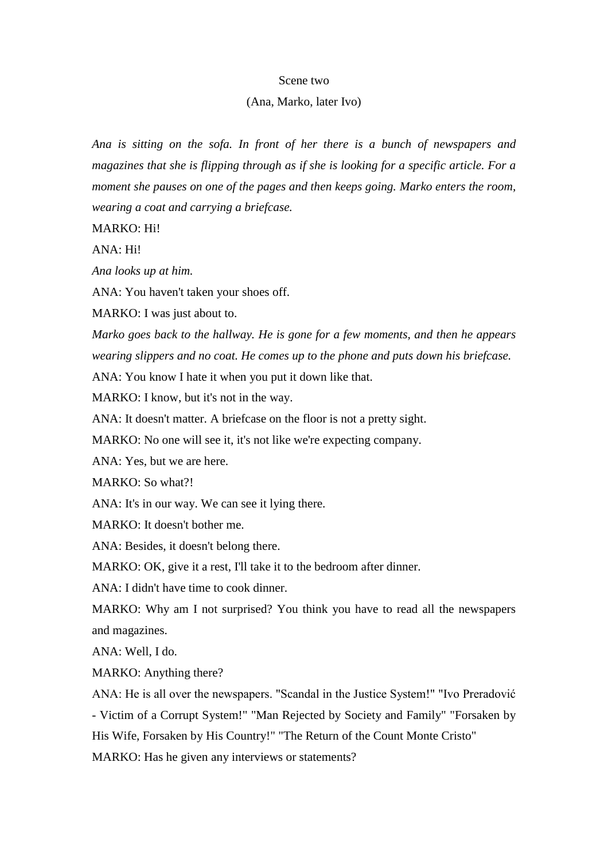#### Scene two

## (Ana, Marko, later Ivo)

*Ana is sitting on the sofa. In front of her there is a bunch of newspapers and magazines that she is flipping through as if she is looking for a specific article. For a moment she pauses on one of the pages and then keeps going. Marko enters the room, wearing a coat and carrying a briefcase.*

MARKO: Hi!

ANA: Hi!

*Ana looks up at him.*

ANA: You haven't taken your shoes off.

MARKO: I was just about to.

*Marko goes back to the hallway. He is gone for a few moments, and then he appears wearing slippers and no coat. He comes up to the phone and puts down his briefcase.*

ANA: You know I hate it when you put it down like that.

MARKO: I know, but it's not in the way.

ANA: It doesn't matter. A briefcase on the floor is not a pretty sight.

MARKO: No one will see it, it's not like we're expecting company.

ANA: Yes, but we are here.

MARKO: So what?!

ANA: It's in our way. We can see it lying there.

MARKO: It doesn't bother me.

ANA: Besides, it doesn't belong there.

MARKO: OK, give it a rest, I'll take it to the bedroom after dinner.

ANA: I didn't have time to cook dinner.

MARKO: Why am I not surprised? You think you have to read all the newspapers and magazines.

ANA: Well, I do.

MARKO: Anything there?

ANA: He is all over the newspapers. "Scandal in the Justice System!" "Ivo Preradović - Victim of a Corrupt System!" "Man Rejected by Society and Family" "Forsaken by His Wife, Forsaken by His Country!" "The Return of the Count Monte Cristo" MARKO: Has he given any interviews or statements?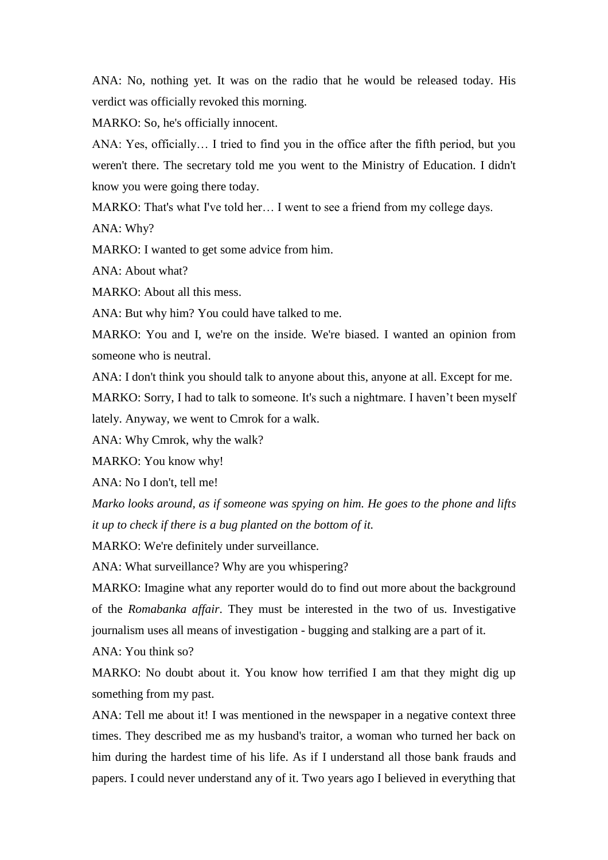ANA: No, nothing yet. It was on the radio that he would be released today. His verdict was officially revoked this morning.

MARKO: So, he's officially innocent.

ANA: Yes, officially… I tried to find you in the office after the fifth period, but you weren't there. The secretary told me you went to the Ministry of Education. I didn't know you were going there today.

MARKO: That's what I've told her... I went to see a friend from my college days.

ANA: Why?

MARKO: I wanted to get some advice from him.

ANA: About what?

MARKO: About all this mess.

ANA: But why him? You could have talked to me.

MARKO: You and I, we're on the inside. We're biased. I wanted an opinion from someone who is neutral.

ANA: I don't think you should talk to anyone about this, anyone at all. Except for me.

MARKO: Sorry, I had to talk to someone. It's such a nightmare. I haven't been myself lately. Anyway, we went to Cmrok for a walk.

ANA: Why Cmrok, why the walk?

MARKO: You know why!

ANA: No I don't, tell me!

*Marko looks around, as if someone was spying on him. He goes to the phone and lifts it up to check if there is a bug planted on the bottom of it.*

MARKO: We're definitely under surveillance.

ANA: What surveillance? Why are you whispering?

MARKO: Imagine what any reporter would do to find out more about the background of the *Romabanka affair*. They must be interested in the two of us. Investigative journalism uses all means of investigation - bugging and stalking are a part of it.

ANA: You think so?

MARKO: No doubt about it. You know how terrified I am that they might dig up something from my past.

ANA: Tell me about it! I was mentioned in the newspaper in a negative context three times. They described me as my husband's traitor, a woman who turned her back on him during the hardest time of his life. As if I understand all those bank frauds and papers. I could never understand any of it. Two years ago I believed in everything that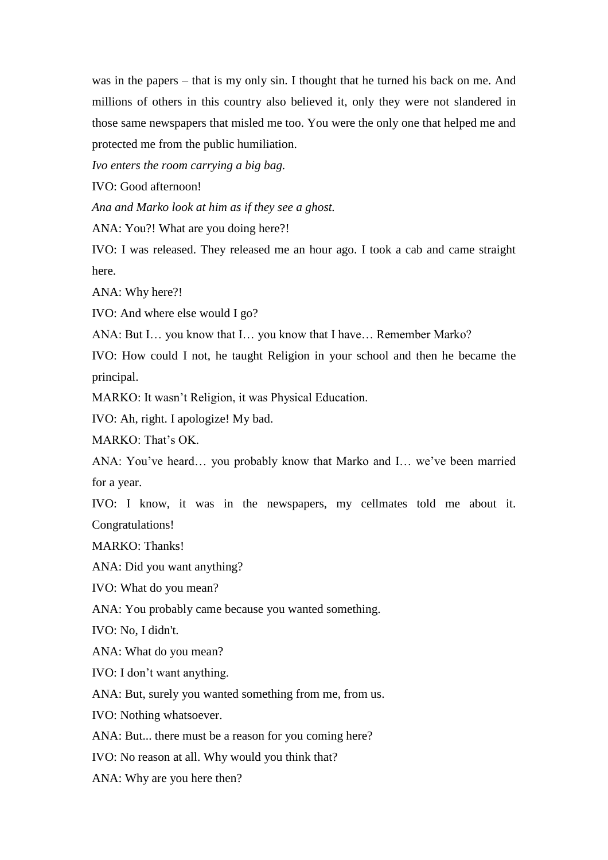was in the papers – that is my only sin. I thought that he turned his back on me. And millions of others in this country also believed it, only they were not slandered in those same newspapers that misled me too. You were the only one that helped me and protected me from the public humiliation.

*Ivo enters the room carrying a big bag.*

IVO: Good afternoon!

*Ana and Marko look at him as if they see a ghost.*

ANA: You?! What are you doing here?!

IVO: I was released. They released me an hour ago. I took a cab and came straight here.

ANA: Why here?!

IVO: And where else would I go?

ANA: But I… you know that I… you know that I have… Remember Marko?

IVO: How could I not, he taught Religion in your school and then he became the principal.

MARKO: It wasn't Religion, it was Physical Education.

IVO: Ah, right. I apologize! My bad.

MARKO: That's OK.

ANA: You've heard… you probably know that Marko and I… we've been married for a year.

IVO: I know, it was in the newspapers, my cellmates told me about it. Congratulations!

MARKO: Thanks!

ANA: Did you want anything?

IVO: What do you mean?

ANA: You probably came because you wanted something.

IVO: No, I didn't.

ANA: What do you mean?

IVO: I don't want anything.

ANA: But, surely you wanted something from me, from us.

IVO: Nothing whatsoever.

ANA: But... there must be a reason for you coming here?

IVO: No reason at all. Why would you think that?

ANA: Why are you here then?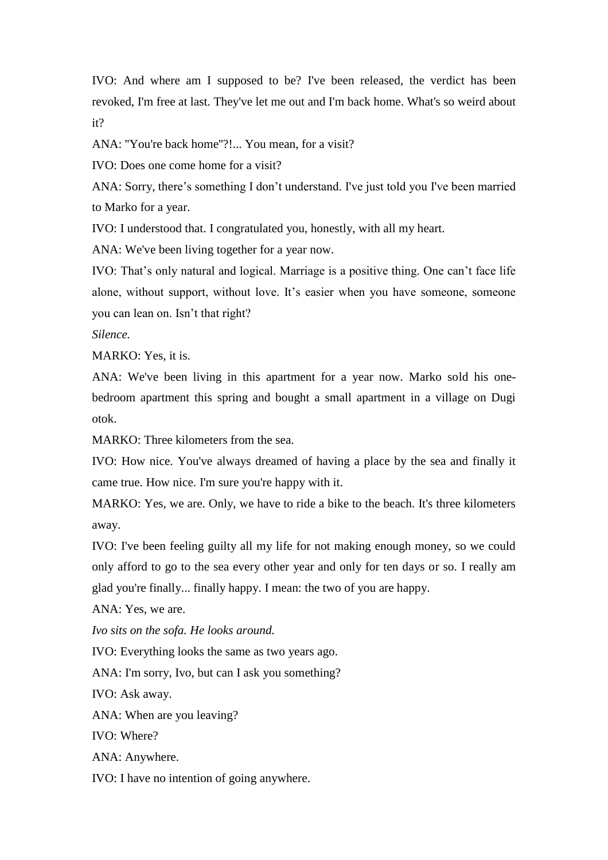IVO: And where am I supposed to be? I've been released, the verdict has been revoked, I'm free at last. They've let me out and I'm back home. What's so weird about it?

ANA: "You're back home"?!... You mean, for a visit?

IVO: Does one come home for a visit?

ANA: Sorry, there's something I don't understand. I've just told you I've been married to Marko for a year.

IVO: I understood that. I congratulated you, honestly, with all my heart.

ANA: We've been living together for a year now.

IVO: That's only natural and logical. Marriage is a positive thing. One can't face life alone, without support, without love. It's easier when you have someone, someone you can lean on. Isn't that right?

*Silence.*

MARKO: Yes, it is.

ANA: We've been living in this apartment for a year now. Marko sold his onebedroom apartment this spring and bought a small apartment in a village on Dugi otok.

MARKO: Three kilometers from the sea.

IVO: How nice. You've always dreamed of having a place by the sea and finally it came true. How nice. I'm sure you're happy with it.

MARKO: Yes, we are. Only, we have to ride a bike to the beach. It's three kilometers away.

IVO: I've been feeling guilty all my life for not making enough money, so we could only afford to go to the sea every other year and only for ten days or so. I really am glad you're finally... finally happy. I mean: the two of you are happy.

ANA: Yes, we are.

*Ivo sits on the sofa. He looks around.*

IVO: Everything looks the same as two years ago.

ANA: I'm sorry, Ivo, but can I ask you something?

IVO: Ask away.

ANA: When are you leaving?

IVO: Where?

ANA: Anywhere.

IVO: I have no intention of going anywhere.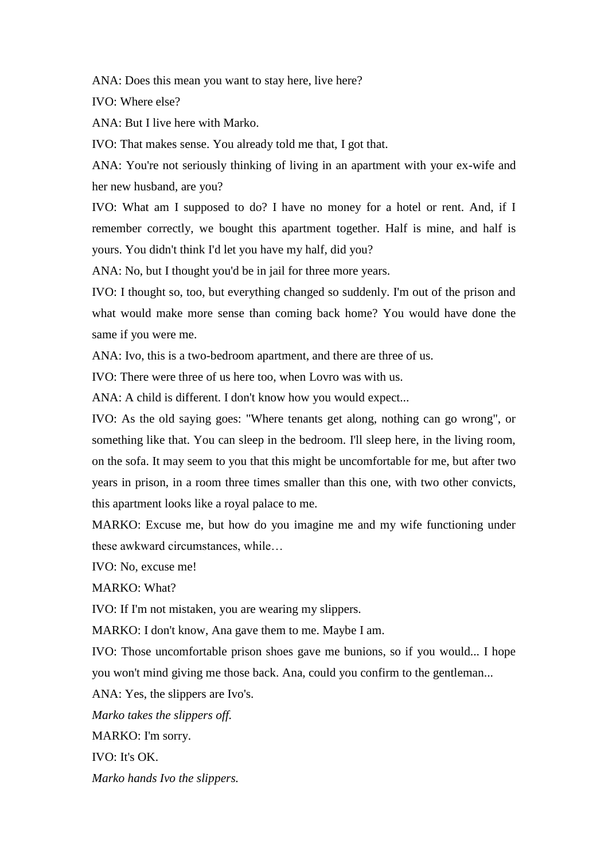ANA: Does this mean you want to stay here, live here?

IVO: Where else?

ANA: But I live here with Marko.

IVO: That makes sense. You already told me that, I got that.

ANA: You're not seriously thinking of living in an apartment with your ex-wife and her new husband, are you?

IVO: What am I supposed to do? I have no money for a hotel or rent. And, if I remember correctly, we bought this apartment together. Half is mine, and half is yours. You didn't think I'd let you have my half, did you?

ANA: No, but I thought you'd be in jail for three more years.

IVO: I thought so, too, but everything changed so suddenly. I'm out of the prison and what would make more sense than coming back home? You would have done the same if you were me.

ANA: Ivo, this is a two-bedroom apartment, and there are three of us.

IVO: There were three of us here too, when Lovro was with us.

ANA: A child is different. I don't know how you would expect...

IVO: As the old saying goes: "Where tenants get along, nothing can go wrong", or something like that. You can sleep in the bedroom. I'll sleep here, in the living room, on the sofa. It may seem to you that this might be uncomfortable for me, but after two years in prison, in a room three times smaller than this one, with two other convicts, this apartment looks like a royal palace to me.

MARKO: Excuse me, but how do you imagine me and my wife functioning under these awkward circumstances, while…

IVO: No, excuse me!

MARKO: What?

IVO: If I'm not mistaken, you are wearing my slippers.

MARKO: I don't know, Ana gave them to me. Maybe I am.

IVO: Those uncomfortable prison shoes gave me bunions, so if you would... I hope you won't mind giving me those back. Ana, could you confirm to the gentleman...

ANA: Yes, the slippers are Ivo's.

*Marko takes the slippers off.*

MARKO: I'm sorry.

IVO: It's OK.

*Marko hands Ivo the slippers.*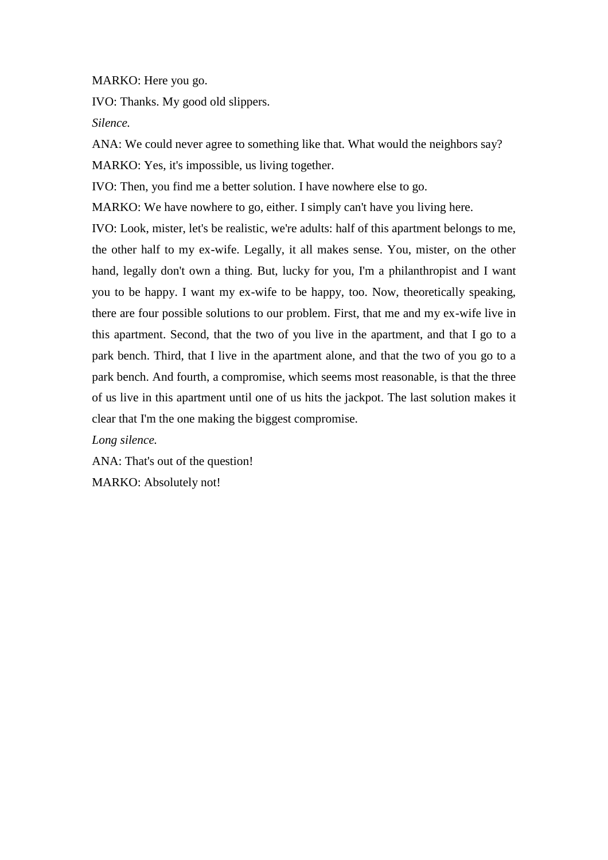MARKO: Here you go.

IVO: Thanks. My good old slippers.

*Silence.*

ANA: We could never agree to something like that. What would the neighbors say? MARKO: Yes, it's impossible, us living together.

IVO: Then, you find me a better solution. I have nowhere else to go.

MARKO: We have nowhere to go, either. I simply can't have you living here.

IVO: Look, mister, let's be realistic, we're adults: half of this apartment belongs to me, the other half to my ex-wife. Legally, it all makes sense. You, mister, on the other hand, legally don't own a thing. But, lucky for you, I'm a philanthropist and I want you to be happy. I want my ex-wife to be happy, too. Now, theoretically speaking, there are four possible solutions to our problem. First, that me and my ex-wife live in this apartment. Second, that the two of you live in the apartment, and that I go to a park bench. Third, that I live in the apartment alone, and that the two of you go to a park bench. And fourth, a compromise, which seems most reasonable, is that the three of us live in this apartment until one of us hits the jackpot. The last solution makes it clear that I'm the one making the biggest compromise.

*Long silence.*

ANA: That's out of the question! MARKO: Absolutely not!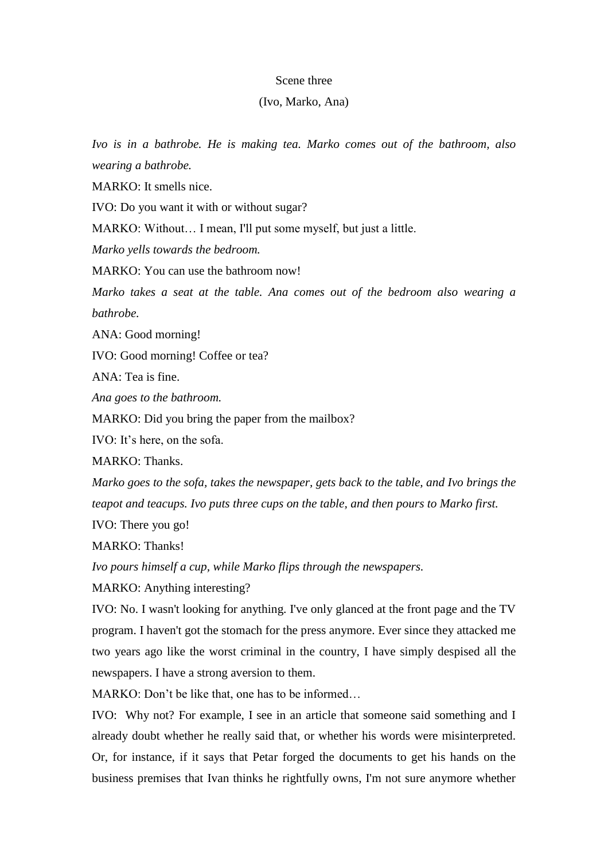#### Scene three

## (Ivo, Marko, Ana)

*Ivo is in a bathrobe. He is making tea. Marko comes out of the bathroom, also wearing a bathrobe.* 

MARKO: It smells nice.

IVO: Do you want it with or without sugar?

MARKO: Without… I mean, I'll put some myself, but just a little.

*Marko yells towards the bedroom.* 

MARKO: You can use the bathroom now!

*Marko takes a seat at the table. Ana comes out of the bedroom also wearing a bathrobe.*

ANA: Good morning!

IVO: Good morning! Coffee or tea?

ANA: Tea is fine.

*Ana goes to the bathroom.*

MARKO: Did you bring the paper from the mailbox?

IVO: It's here, on the sofa.

MARKO: Thanks.

*Marko goes to the sofa, takes the newspaper, gets back to the table, and Ivo brings the teapot and teacups. Ivo puts three cups on the table, and then pours to Marko first.*

IVO: There you go!

MARKO: Thanks!

*Ivo pours himself a cup, while Marko flips through the newspapers.*

MARKO: Anything interesting?

IVO: No. I wasn't looking for anything. I've only glanced at the front page and the TV program. I haven't got the stomach for the press anymore. Ever since they attacked me two years ago like the worst criminal in the country, I have simply despised all the newspapers. I have a strong aversion to them.

MARKO: Don't be like that, one has to be informed...

IVO: Why not? For example, I see in an article that someone said something and I already doubt whether he really said that, or whether his words were misinterpreted. Or, for instance, if it says that Petar forged the documents to get his hands on the business premises that Ivan thinks he rightfully owns, I'm not sure anymore whether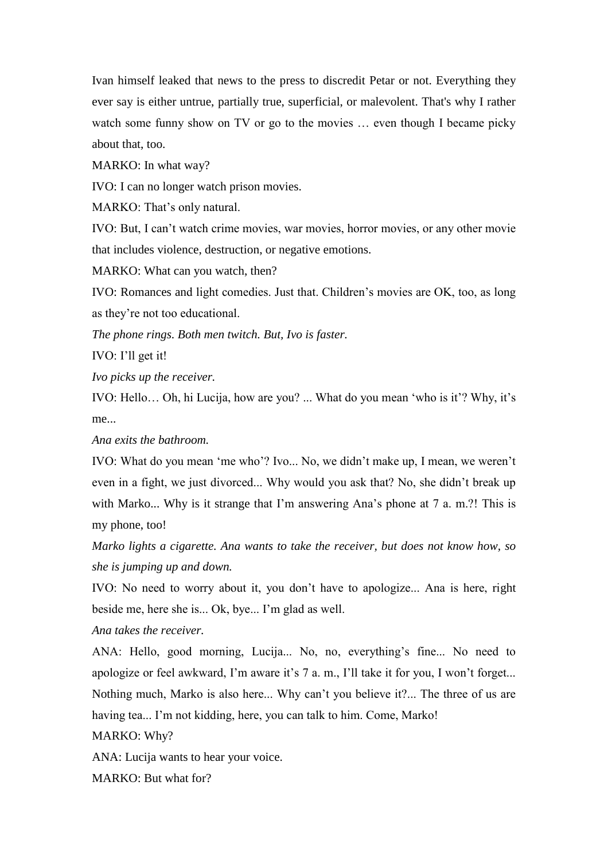Ivan himself leaked that news to the press to discredit Petar or not. Everything they ever say is either untrue, partially true, superficial, or malevolent. That's why I rather watch some funny show on TV or go to the movies ... even though I became picky about that, too.

MARKO: In what way?

IVO: I can no longer watch prison movies.

MARKO: That's only natural.

IVO: But, I can't watch crime movies, war movies, horror movies, or any other movie that includes violence, destruction, or negative emotions.

MARKO: What can you watch, then?

IVO: Romances and light comedies. Just that. Children's movies are OK, too, as long as they're not too educational.

*The phone rings. Both men twitch. But, Ivo is faster.*

IVO: I'll get it!

*Ivo picks up the receiver.*

IVO: Hello… Oh, hi Lucija, how are you? ... What do you mean 'who is it'? Why, it's me...

*Ana exits the bathroom.*

IVO: What do you mean 'me who'? Ivo... No, we didn't make up, I mean, we weren't even in a fight, we just divorced... Why would you ask that? No, she didn't break up with Marko... Why is it strange that I'm answering Ana's phone at 7 a. m.?! This is my phone, too!

*Marko lights a cigarette. Ana wants to take the receiver, but does not know how, so she is jumping up and down.*

IVO: No need to worry about it, you don't have to apologize... Ana is here, right beside me, here she is... Ok, bye... I'm glad as well.

*Ana takes the receiver.*

ANA: Hello, good morning, Lucija... No, no, everything's fine... No need to apologize or feel awkward, I'm aware it's 7 a. m., I'll take it for you, I won't forget... Nothing much, Marko is also here... Why can't you believe it?... The three of us are having tea... I'm not kidding, here, you can talk to him. Come, Marko!

MARKO: Why?

ANA: Lucija wants to hear your voice.

MARKO: But what for?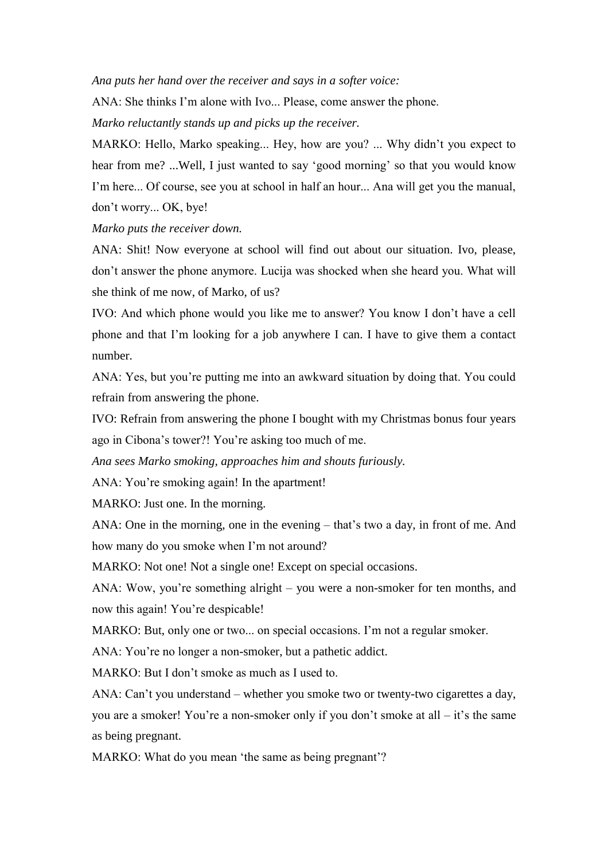*Ana puts her hand over the receiver and says in a softer voice:*

ANA: She thinks I'm alone with Ivo... Please, come answer the phone.

*Marko reluctantly stands up and picks up the receiver.*

MARKO: Hello, Marko speaking... Hey, how are you? ... Why didn't you expect to hear from me? ...Well, I just wanted to say 'good morning' so that you would know I'm here... Of course, see you at school in half an hour... Ana will get you the manual, don't worry... OK, bye!

*Marko puts the receiver down.*

ANA: Shit! Now everyone at school will find out about our situation. Ivo, please, don't answer the phone anymore. Lucija was shocked when she heard you. What will she think of me now, of Marko, of us?

IVO: And which phone would you like me to answer? You know I don't have a cell phone and that I'm looking for a job anywhere I can. I have to give them a contact number.

ANA: Yes, but you're putting me into an awkward situation by doing that. You could refrain from answering the phone.

IVO: Refrain from answering the phone I bought with my Christmas bonus four years ago in Cibona's tower?! You're asking too much of me.

*Ana sees Marko smoking, approaches him and shouts furiously.*

ANA: You're smoking again! In the apartment!

MARKO: Just one. In the morning.

ANA: One in the morning, one in the evening – that's two a day, in front of me. And how many do you smoke when I'm not around?

MARKO: Not one! Not a single one! Except on special occasions.

ANA: Wow, you're something alright – you were a non-smoker for ten months, and now this again! You're despicable!

MARKO: But, only one or two... on special occasions. I'm not a regular smoker.

ANA: You're no longer a non-smoker, but a pathetic addict.

MARKO: But I don't smoke as much as I used to.

ANA: Can't you understand – whether you smoke two or twenty-two cigarettes a day, you are a smoker! You're a non-smoker only if you don't smoke at all – it's the same as being pregnant.

MARKO: What do you mean 'the same as being pregnant'?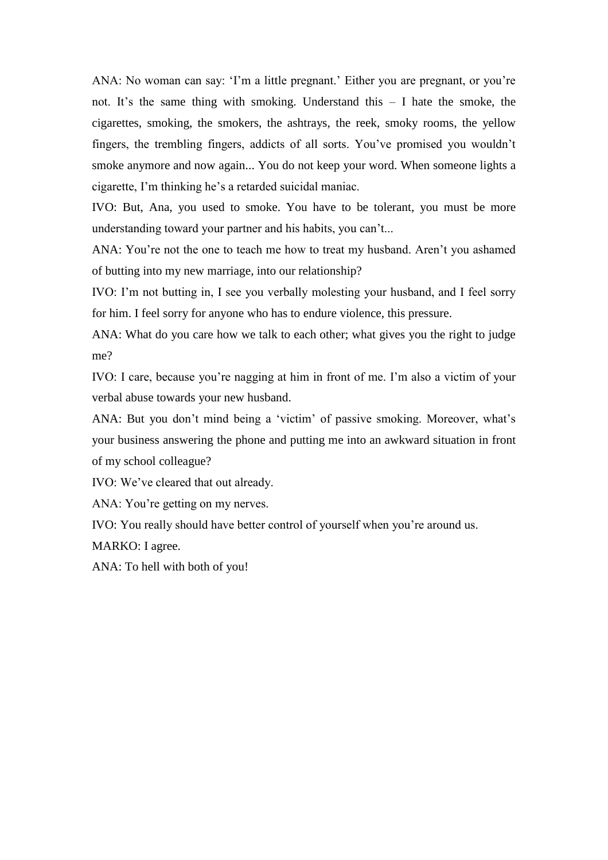ANA: No woman can say: 'I'm a little pregnant.' Either you are pregnant, or you're not. It's the same thing with smoking. Understand this – I hate the smoke, the cigarettes, smoking, the smokers, the ashtrays, the reek, smoky rooms, the yellow fingers, the trembling fingers, addicts of all sorts. You've promised you wouldn't smoke anymore and now again... You do not keep your word. When someone lights a cigarette, I'm thinking he's a retarded suicidal maniac.

IVO: But, Ana, you used to smoke. You have to be tolerant, you must be more understanding toward your partner and his habits, you can't...

ANA: You're not the one to teach me how to treat my husband. Aren't you ashamed of butting into my new marriage, into our relationship?

IVO: I'm not butting in, I see you verbally molesting your husband, and I feel sorry for him. I feel sorry for anyone who has to endure violence, this pressure.

ANA: What do you care how we talk to each other; what gives you the right to judge me?

IVO: I care, because you're nagging at him in front of me. I'm also a victim of your verbal abuse towards your new husband.

ANA: But you don't mind being a 'victim' of passive smoking. Moreover, what's your business answering the phone and putting me into an awkward situation in front of my school colleague?

IVO: We've cleared that out already.

ANA: You're getting on my nerves.

IVO: You really should have better control of yourself when you're around us.

MARKO: I agree.

ANA: To hell with both of you!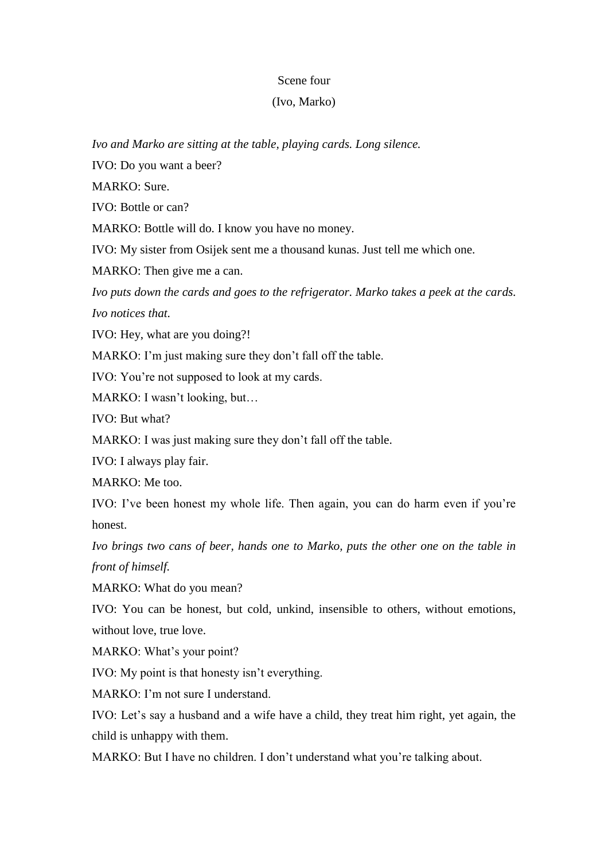## Scene four

## (Ivo, Marko)

*Ivo and Marko are sitting at the table, playing cards. Long silence.*

IVO: Do you want a beer?

MARKO: Sure.

IVO: Bottle or can?

MARKO: Bottle will do. I know you have no money.

IVO: My sister from Osijek sent me a thousand kunas. Just tell me which one.

MARKO: Then give me a can.

*Ivo puts down the cards and goes to the refrigerator. Marko takes a peek at the cards. Ivo notices that.* 

IVO: Hey, what are you doing?!

MARKO: I'm just making sure they don't fall off the table.

IVO: You're not supposed to look at my cards.

MARKO: I wasn't looking, but…

IVO: But what?

MARKO: I was just making sure they don't fall off the table.

IVO: I always play fair.

MARKO: Me too.

IVO: I've been honest my whole life. Then again, you can do harm even if you're honest.

*Ivo brings two cans of beer, hands one to Marko, puts the other one on the table in front of himself.*

MARKO: What do you mean?

IVO: You can be honest, but cold, unkind, insensible to others, without emotions, without love, true love.

MARKO: What's your point?

IVO: My point is that honesty isn't everything.

MARKO: I'm not sure I understand.

IVO: Let's say a husband and a wife have a child, they treat him right, yet again, the child is unhappy with them.

MARKO: But I have no children. I don't understand what you're talking about.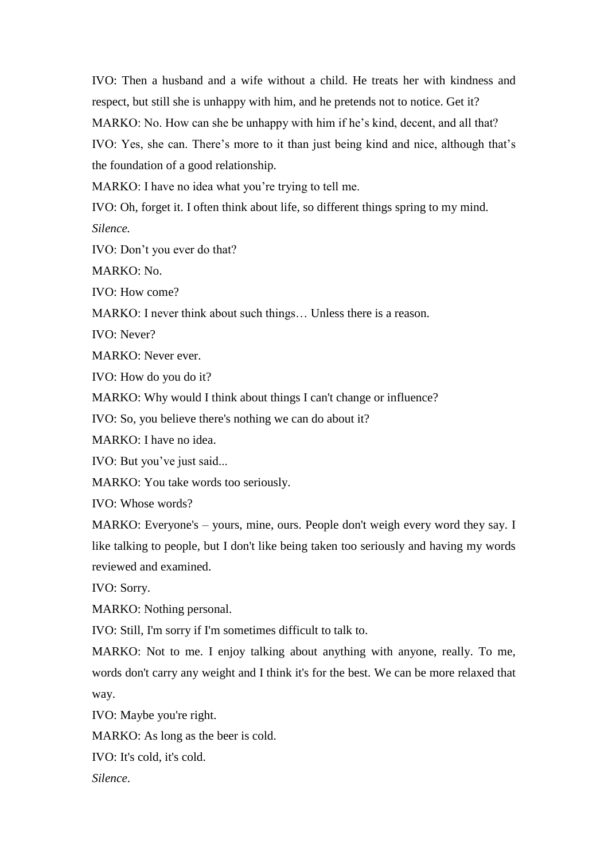IVO: Then a husband and a wife without a child. He treats her with kindness and respect, but still she is unhappy with him, and he pretends not to notice. Get it? MARKO: No. How can she be unhappy with him if he's kind, decent, and all that? IVO: Yes, she can. There's more to it than just being kind and nice, although that's the foundation of a good relationship.

MARKO: I have no idea what you're trying to tell me.

IVO: Oh, forget it. I often think about life, so different things spring to my mind.

*Silence.*

IVO: Don't you ever do that?

MARKO: No.

IVO: How come?

MARKO: I never think about such things… Unless there is a reason.

IVO: Never?

MARKO: Never ever.

IVO: How do you do it?

MARKO: Why would I think about things I can't change or influence?

IVO: So, you believe there's nothing we can do about it?

MARKO: I have no idea.

IVO: But you've just said...

MARKO: You take words too seriously.

IVO: Whose words?

MARKO: Everyone's – yours, mine, ours. People don't weigh every word they say. I like talking to people, but I don't like being taken too seriously and having my words reviewed and examined.

IVO: Sorry.

MARKO: Nothing personal.

IVO: Still, I'm sorry if I'm sometimes difficult to talk to.

MARKO: Not to me. I enjoy talking about anything with anyone, really. To me, words don't carry any weight and I think it's for the best. We can be more relaxed that way.

IVO: Maybe you're right.

MARKO: As long as the beer is cold.

IVO: It's cold, it's cold.

*Silence*.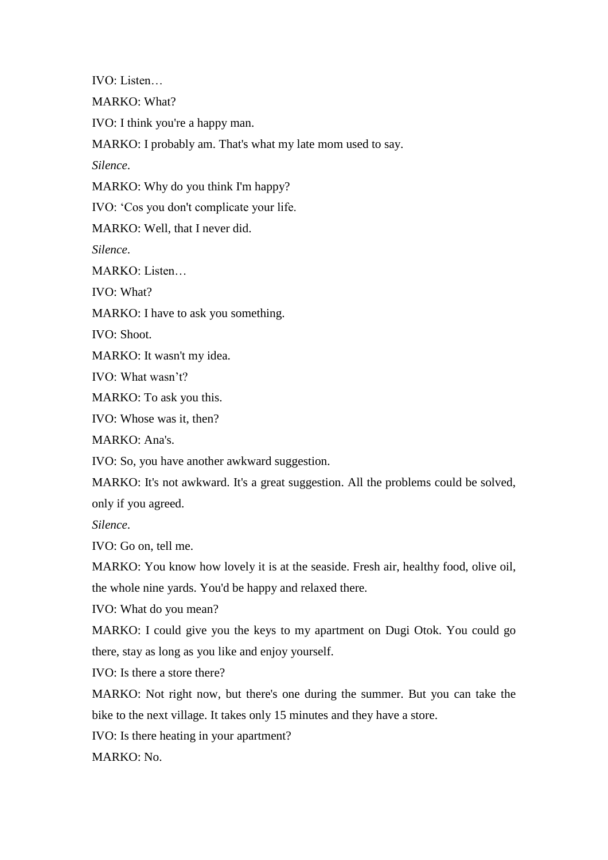IVO: Listen…

MARKO: What?

IVO: I think you're a happy man.

MARKO: I probably am. That's what my late mom used to say.

*Silence*.

MARKO: Why do you think I'm happy?

IVO: 'Cos you don't complicate your life.

MARKO: Well, that I never did.

*Silence*.

MARKO: Listen…

IVO: What?

MARKO: I have to ask you something.

IVO: Shoot.

MARKO: It wasn't my idea.

IVO: What wasn't?

MARKO: To ask you this.

IVO: Whose was it, then?

MARKO: Ana's.

IVO: So, you have another awkward suggestion.

MARKO: It's not awkward. It's a great suggestion. All the problems could be solved,

only if you agreed.

*Silence*.

IVO: Go on, tell me.

MARKO: You know how lovely it is at the seaside. Fresh air, healthy food, olive oil, the whole nine yards. You'd be happy and relaxed there.

IVO: What do you mean?

MARKO: I could give you the keys to my apartment on Dugi Otok. You could go there, stay as long as you like and enjoy yourself.

IVO: Is there a store there?

MARKO: Not right now, but there's one during the summer. But you can take the bike to the next village. It takes only 15 minutes and they have a store.

IVO: Is there heating in your apartment?

MARKO: No.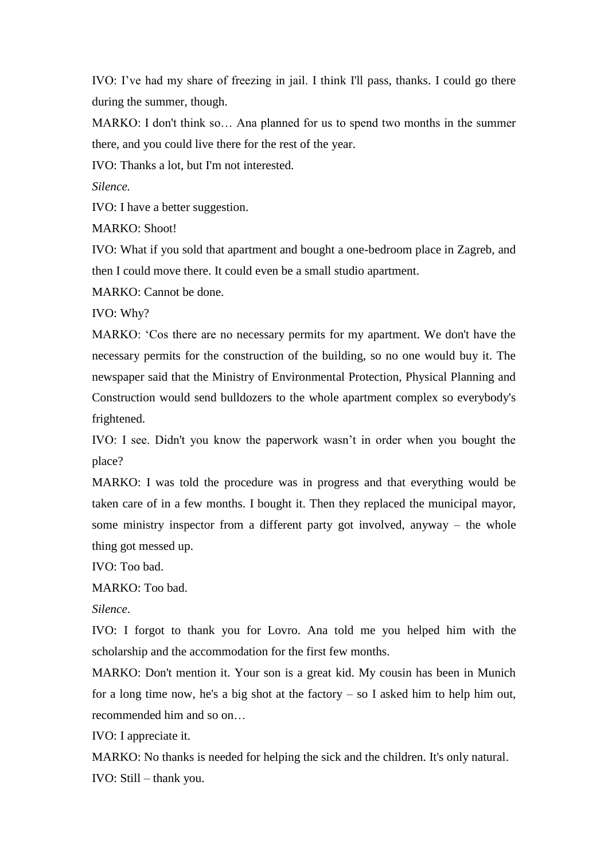IVO: I've had my share of freezing in jail. I think I'll pass, thanks. I could go there during the summer, though.

MARKO: I don't think so… Ana planned for us to spend two months in the summer there, and you could live there for the rest of the year.

IVO: Thanks a lot, but I'm not interested.

*Silence.*

IVO: I have a better suggestion.

MARKO: Shoot!

IVO: What if you sold that apartment and bought a one-bedroom place in Zagreb, and then I could move there. It could even be a small studio apartment.

MARKO: Cannot be done.

IVO: Why?

MARKO: 'Cos there are no necessary permits for my apartment. We don't have the necessary permits for the construction of the building, so no one would buy it. The newspaper said that the Ministry of Environmental Protection, Physical Planning and Construction would send bulldozers to the whole apartment complex so everybody's frightened.

IVO: I see. Didn't you know the paperwork wasn't in order when you bought the place?

MARKO: I was told the procedure was in progress and that everything would be taken care of in a few months. I bought it. Then they replaced the municipal mayor, some ministry inspector from a different party got involved, anyway – the whole thing got messed up.

IVO: Too bad.

MARKO: Too bad.

*Silence*.

IVO: I forgot to thank you for Lovro. Ana told me you helped him with the scholarship and the accommodation for the first few months.

MARKO: Don't mention it. Your son is a great kid. My cousin has been in Munich for a long time now, he's a big shot at the factory  $-$  so I asked him to help him out, recommended him and so on…

IVO: I appreciate it.

MARKO: No thanks is needed for helping the sick and the children. It's only natural. IVO: Still – thank you.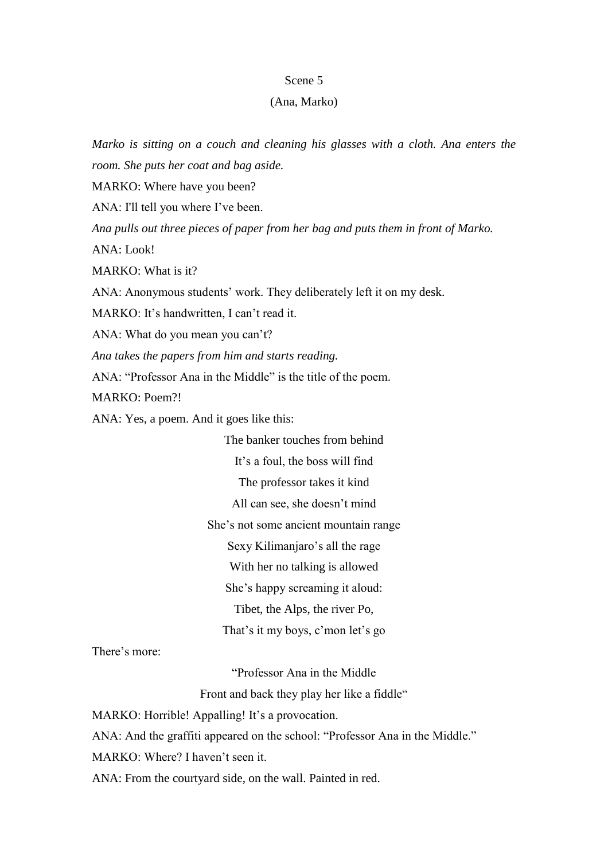#### Scene 5

## (Ana, Marko)

*Marko is sitting on a couch and cleaning his glasses with a cloth. Ana enters the room. She puts her coat and bag aside.*

MARKO: Where have you been?

ANA: I'll tell you where I've been.

*Ana pulls out three pieces of paper from her bag and puts them in front of Marko.* ANA: Look!

MARKO: What is it?

ANA: Anonymous students' work. They deliberately left it on my desk.

MARKO: It's handwritten, I can't read it.

ANA: What do you mean you can't?

*Ana takes the papers from him and starts reading.*

ANA: "Professor Ana in the Middle" is the title of the poem.

MARKO: Poem?!

ANA: Yes, a poem. And it goes like this:

The banker touches from behind It's a foul, the boss will find The professor takes it kind All can see, she doesn't mind She's not some ancient mountain range Sexy Kilimanjaro's all the rage With her no talking is allowed She's happy screaming it aloud: Tibet, the Alps, the river Po, That's it my boys, c'mon let's go

There's more:

"Professor Ana in the Middle

Front and back they play her like a fiddle"

MARKO: Horrible! Appalling! It's a provocation.

ANA: And the graffiti appeared on the school: "Professor Ana in the Middle."

MARKO: Where? I haven't seen it.

ANA: From the courtyard side, on the wall. Painted in red.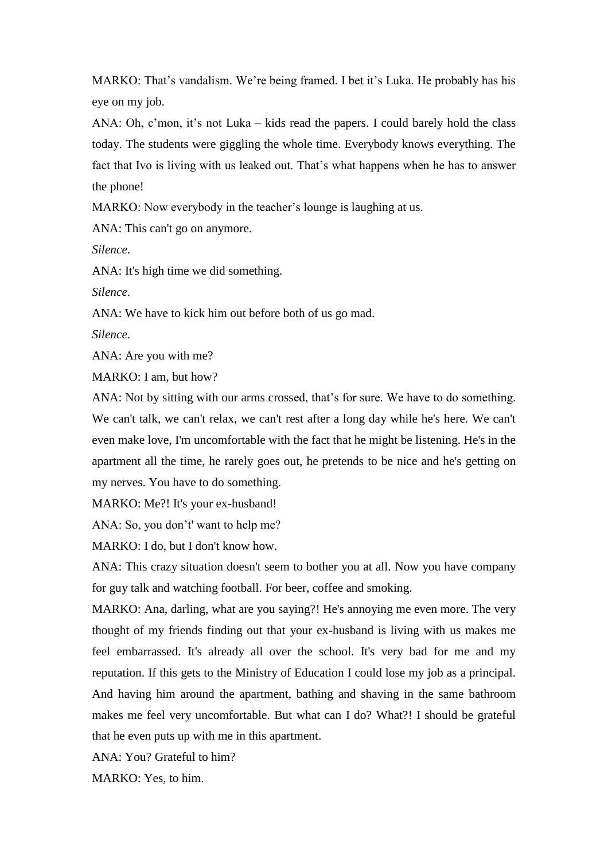MARKO: That's vandalism. We're being framed. I bet it's Luka. He probably has his eye on my job.

ANA: Oh, c'mon, it's not Luka – kids read the papers. I could barely hold the class today. The students were giggling the whole time. Everybody knows everything. The fact that Ivo is living with us leaked out. That's what happens when he has to answer the phone!

MARKO: Now everybody in the teacher's lounge is laughing at us.

ANA: This can't go on anymore.

*Silence*.

ANA: It's high time we did something.

*Silence*.

ANA: We have to kick him out before both of us go mad.

*Silence*.

ANA: Are you with me?

MARKO: I am, but how?

ANA: Not by sitting with our arms crossed, that's for sure. We have to do something. We can't talk, we can't relax, we can't rest after a long day while he's here. We can't even make love, I'm uncomfortable with the fact that he might be listening. He's in the apartment all the time, he rarely goes out, he pretends to be nice and he's getting on my nerves. You have to do something.

MARKO: Me?! It's your ex-husband!

ANA: So, you don't' want to help me?

MARKO: I do, but I don't know how.

ANA: This crazy situation doesn't seem to bother you at all. Now you have company for guy talk and watching football. For beer, coffee and smoking.

MARKO: Ana, darling, what are you saying?! He's annoying me even more. The very thought of my friends finding out that your ex-husband is living with us makes me feel embarrassed. It's already all over the school. It's very bad for me and my reputation. If this gets to the Ministry of Education I could lose my job as a principal. And having him around the apartment, bathing and shaving in the same bathroom makes me feel very uncomfortable. But what can I do? What?! I should be grateful that he even puts up with me in this apartment.

ANA: You? Grateful to him?

MARKO: Yes, to him.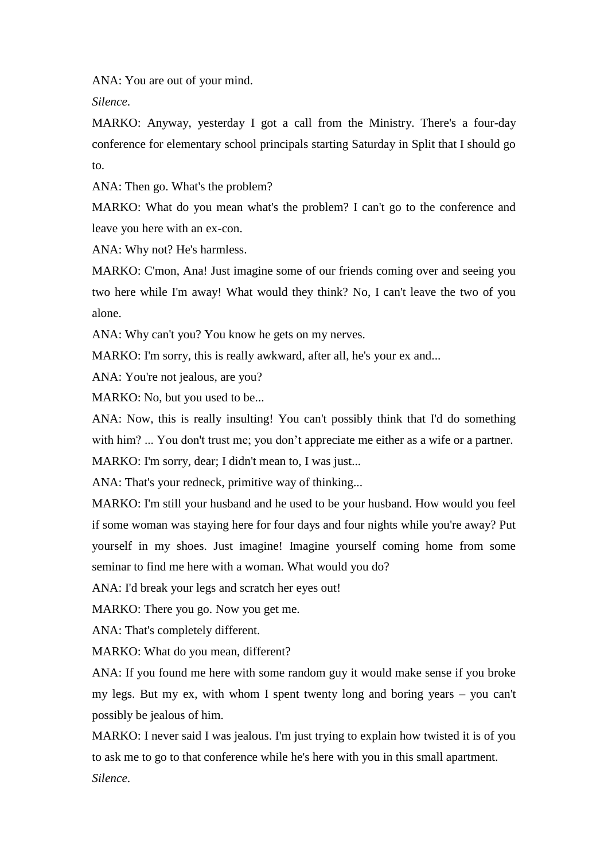ANA: You are out of your mind.

*Silence*.

MARKO: Anyway, yesterday I got a call from the Ministry. There's a four-day conference for elementary school principals starting Saturday in Split that I should go to.

ANA: Then go. What's the problem?

MARKO: What do you mean what's the problem? I can't go to the conference and leave you here with an ex-con.

ANA: Why not? He's harmless.

MARKO: C'mon, Ana! Just imagine some of our friends coming over and seeing you two here while I'm away! What would they think? No, I can't leave the two of you alone.

ANA: Why can't you? You know he gets on my nerves.

MARKO: I'm sorry, this is really awkward, after all, he's your ex and...

ANA: You're not jealous, are you?

MARKO: No, but you used to be...

ANA: Now, this is really insulting! You can't possibly think that I'd do something with him? ... You don't trust me; you don't appreciate me either as a wife or a partner.

MARKO: I'm sorry, dear; I didn't mean to, I was just...

ANA: That's your redneck, primitive way of thinking...

MARKO: I'm still your husband and he used to be your husband. How would you feel if some woman was staying here for four days and four nights while you're away? Put yourself in my shoes. Just imagine! Imagine yourself coming home from some seminar to find me here with a woman. What would you do?

ANA: I'd break your legs and scratch her eyes out!

MARKO: There you go. Now you get me.

ANA: That's completely different.

MARKO: What do you mean, different?

ANA: If you found me here with some random guy it would make sense if you broke my legs. But my ex, with whom I spent twenty long and boring years – you can't possibly be jealous of him.

MARKO: I never said I was jealous. I'm just trying to explain how twisted it is of you to ask me to go to that conference while he's here with you in this small apartment. *Silence*.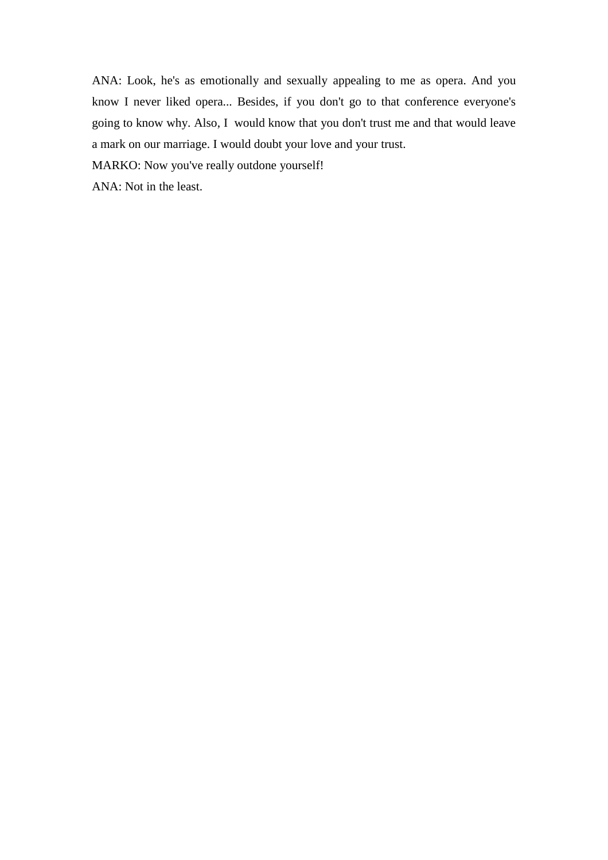ANA: Look, he's as emotionally and sexually appealing to me as opera. And you know I never liked opera... Besides, if you don't go to that conference everyone's going to know why. Also, I would know that you don't trust me and that would leave a mark on our marriage. I would doubt your love and your trust.

MARKO: Now you've really outdone yourself!

ANA: Not in the least.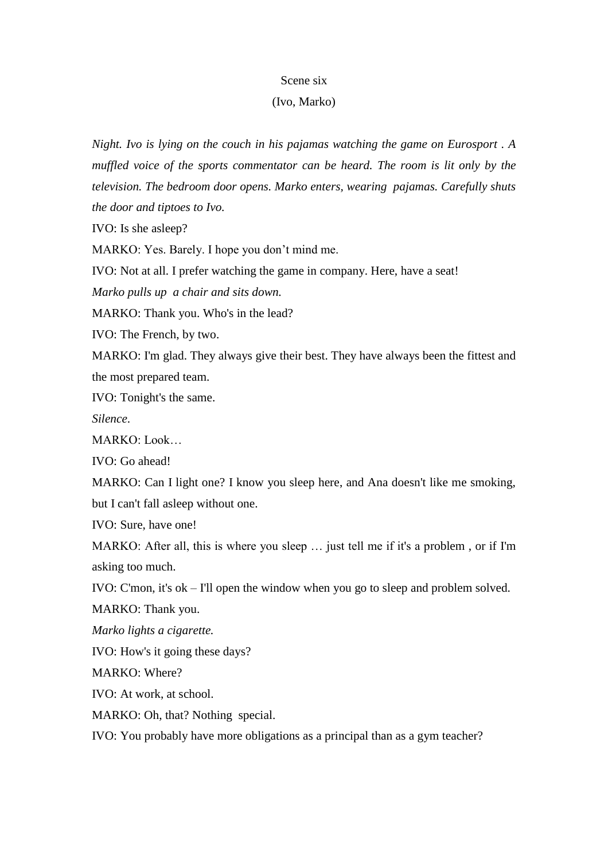#### Scene six

#### (Ivo, Marko)

*Night. Ivo is lying on the couch in his pajamas watching the game on Eurosport . A muffled voice of the sports commentator can be heard. The room is lit only by the television. The bedroom door opens. Marko enters, wearing pajamas. Carefully shuts the door and tiptoes to Ivo.*

IVO: Is she asleep?

MARKO: Yes. Barely. I hope you don't mind me.

IVO: Not at all. I prefer watching the game in company. Here, have a seat!

*Marko pulls up a chair and sits down.*

MARKO: Thank you. Who's in the lead?

IVO: The French, by two.

MARKO: I'm glad. They always give their best. They have always been the fittest and the most prepared team.

IVO: Tonight's the same.

*Silence*.

MARKO: Look…

IVO: Go ahead!

MARKO: Can I light one? I know you sleep here, and Ana doesn't like me smoking, but I can't fall asleep without one.

IVO: Sure, have one!

MARKO: After all, this is where you sleep … just tell me if it's a problem , or if I'm asking too much.

IVO: C'mon, it's ok – I'll open the window when you go to sleep and problem solved.

MARKO: Thank you.

*Marko lights a cigarette.*

IVO: How's it going these days?

MARKO: Where?

IVO: At work, at school.

MARKO: Oh, that? Nothing special.

IVO: You probably have more obligations as a principal than as a gym teacher?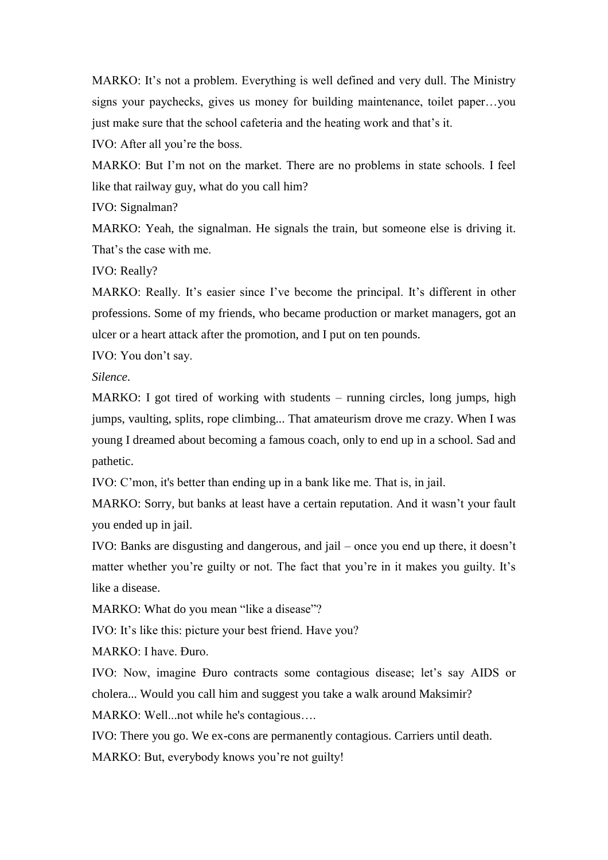MARKO: It's not a problem. Everything is well defined and very dull. The Ministry signs your paychecks, gives us money for building maintenance, toilet paper…you just make sure that the school cafeteria and the heating work and that's it.

IVO: After all you're the boss.

MARKO: But I'm not on the market. There are no problems in state schools. I feel like that railway guy, what do you call him?

IVO: Signalman?

MARKO: Yeah, the signalman. He signals the train, but someone else is driving it. That's the case with me.

IVO: Really?

MARKO: Really. It's easier since I've become the principal. It's different in other professions. Some of my friends, who became production or market managers, got an ulcer or a heart attack after the promotion, and I put on ten pounds.

IVO: You don't say.

*Silence*.

MARKO: I got tired of working with students – running circles, long jumps, high jumps, vaulting, splits, rope climbing... That amateurism drove me crazy. When I was young I dreamed about becoming a famous coach, only to end up in a school. Sad and pathetic.

IVO: C'mon, it's better than ending up in a bank like me. That is, in jail.

MARKO: Sorry, but banks at least have a certain reputation. And it wasn't your fault you ended up in jail.

IVO: Banks are disgusting and dangerous, and jail – once you end up there, it doesn't matter whether you're guilty or not. The fact that you're in it makes you guilty. It's like a disease.

MARKO: What do you mean "like a disease"?

IVO: It's like this: picture your best friend. Have you?

MARKO: I have. Đuro.

IVO: Now, imagine Đuro contracts some contagious disease; let's say AIDS or cholera... Would you call him and suggest you take a walk around Maksimir?

MARKO: Well...not while he's contagious….

IVO: There you go. We ex-cons are permanently contagious. Carriers until death. MARKO: But, everybody knows you're not guilty!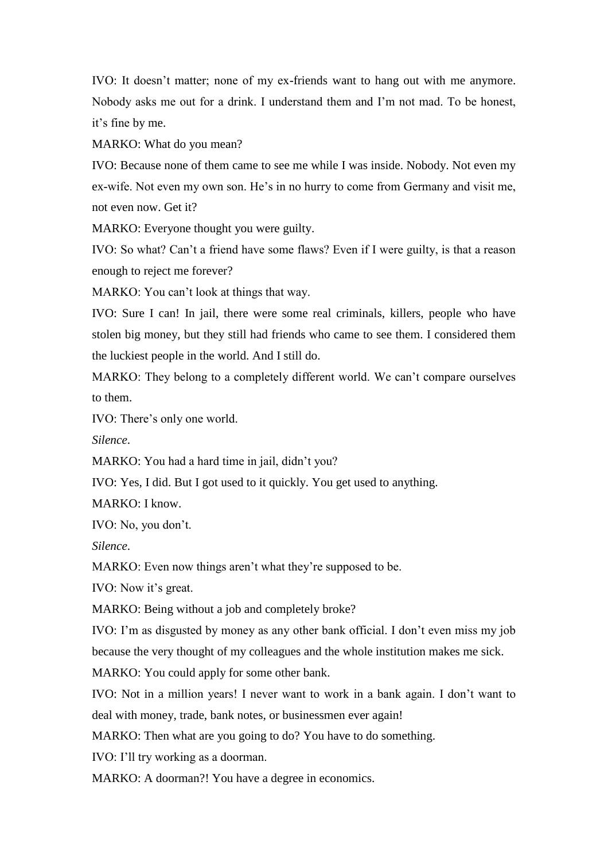IVO: It doesn't matter; none of my ex-friends want to hang out with me anymore. Nobody asks me out for a drink. I understand them and I'm not mad. To be honest, it's fine by me.

MARKO: What do you mean?

IVO: Because none of them came to see me while I was inside. Nobody. Not even my ex-wife. Not even my own son. He's in no hurry to come from Germany and visit me, not even now. Get it?

MARKO: Everyone thought you were guilty.

IVO: So what? Can't a friend have some flaws? Even if I were guilty, is that a reason enough to reject me forever?

MARKO: You can't look at things that way.

IVO: Sure I can! In jail, there were some real criminals, killers, people who have stolen big money, but they still had friends who came to see them. I considered them the luckiest people in the world. And I still do.

MARKO: They belong to a completely different world. We can't compare ourselves to them.

IVO: There's only one world.

*Silence*.

MARKO: You had a hard time in jail, didn't you?

IVO: Yes, I did. But I got used to it quickly. You get used to anything.

MARKO: I know.

IVO: No, you don't.

*Silence*.

MARKO: Even now things aren't what they're supposed to be.

IVO: Now it's great.

MARKO: Being without a job and completely broke?

IVO: I'm as disgusted by money as any other bank official. I don't even miss my job because the very thought of my colleagues and the whole institution makes me sick.

MARKO: You could apply for some other bank.

IVO: Not in a million years! I never want to work in a bank again. I don't want to deal with money, trade, bank notes, or businessmen ever again!

MARKO: Then what are you going to do? You have to do something.

IVO: I'll try working as a doorman.

MARKO: A doorman?! You have a degree in economics.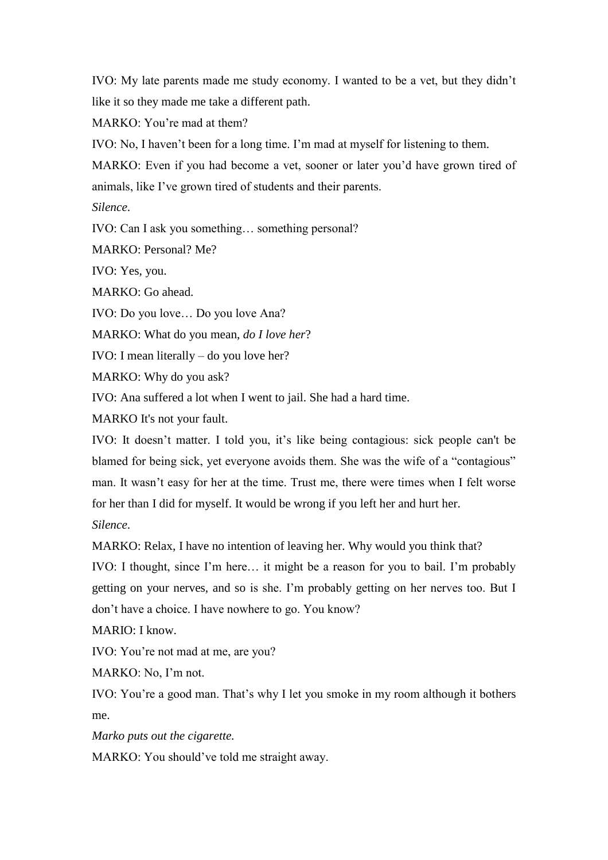IVO: My late parents made me study economy. I wanted to be a vet, but they didn't like it so they made me take a different path.

MARKO: You're mad at them?

IVO: No, I haven't been for a long time. I'm mad at myself for listening to them.

MARKO: Even if you had become a vet, sooner or later you'd have grown tired of animals, like I've grown tired of students and their parents.

*Silence*.

IVO: Can I ask you something… something personal?

MARKO: Personal? Me?

IVO: Yes, you.

MARKO: Go ahead.

IVO: Do you love… Do you love Ana?

MARKO: What do you mean, *do I love her*?

IVO: I mean literally – do you love her?

MARKO: Why do you ask?

IVO: Ana suffered a lot when I went to jail. She had a hard time.

MARKO It's not your fault.

IVO: It doesn't matter. I told you, it's like being contagious: sick people can't be blamed for being sick, yet everyone avoids them. She was the wife of a "contagious" man. It wasn't easy for her at the time. Trust me, there were times when I felt worse for her than I did for myself. It would be wrong if you left her and hurt her.

*Silence*.

MARKO: Relax, I have no intention of leaving her. Why would you think that?

IVO: I thought, since I'm here… it might be a reason for you to bail. I'm probably getting on your nerves, and so is she. I'm probably getting on her nerves too. But I don't have a choice. I have nowhere to go. You know?

MARIO: I know.

IVO: You're not mad at me, are you?

MARKO: No, I'm not.

IVO: You're a good man. That's why I let you smoke in my room although it bothers me.

*Marko puts out the cigarette.*

MARKO: You should've told me straight away.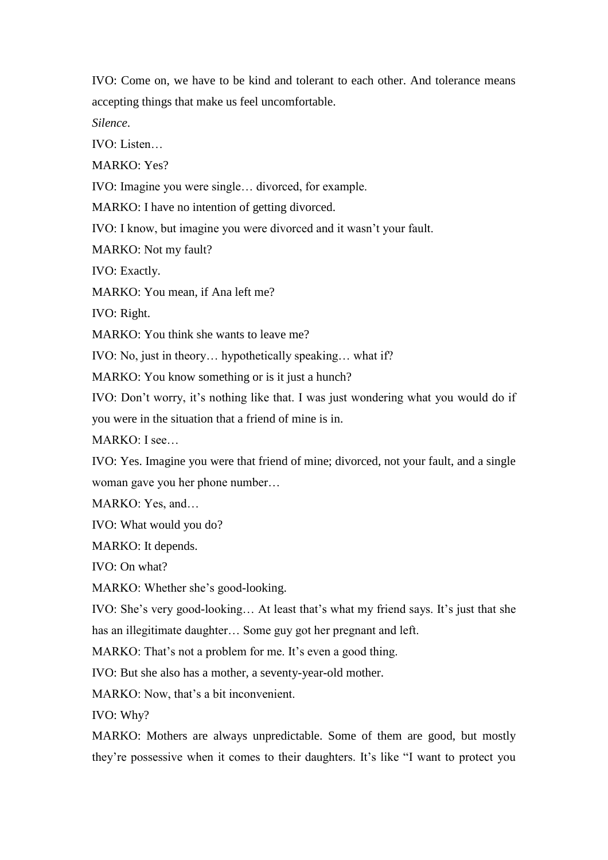IVO: Come on, we have to be kind and tolerant to each other. And tolerance means accepting things that make us feel uncomfortable.

*Silence*.

 $IVO<sup>+</sup>$  Listen

MARKO: Yes?

IVO: Imagine you were single… divorced, for example.

MARKO: I have no intention of getting divorced.

IVO: I know, but imagine you were divorced and it wasn't your fault.

MARKO: Not my fault?

IVO: Exactly.

MARKO: You mean, if Ana left me?

IVO: Right.

MARKO: You think she wants to leave me?

IVO: No, just in theory… hypothetically speaking… what if?

MARKO: You know something or is it just a hunch?

IVO: Don't worry, it's nothing like that. I was just wondering what you would do if you were in the situation that a friend of mine is in.

MARKO: I see…

IVO: Yes. Imagine you were that friend of mine; divorced, not your fault, and a single woman gave you her phone number…

MARKO: Yes, and…

IVO: What would you do?

MARKO: It depends.

IVO: On what?

MARKO: Whether she's good-looking.

IVO: She's very good-looking… At least that's what my friend says. It's just that she has an illegitimate daughter… Some guy got her pregnant and left.

MARKO: That's not a problem for me. It's even a good thing.

IVO: But she also has a mother, a seventy-year-old mother.

MARKO: Now, that's a bit inconvenient.

IVO: Why?

MARKO: Mothers are always unpredictable. Some of them are good, but mostly they're possessive when it comes to their daughters. It's like "I want to protect you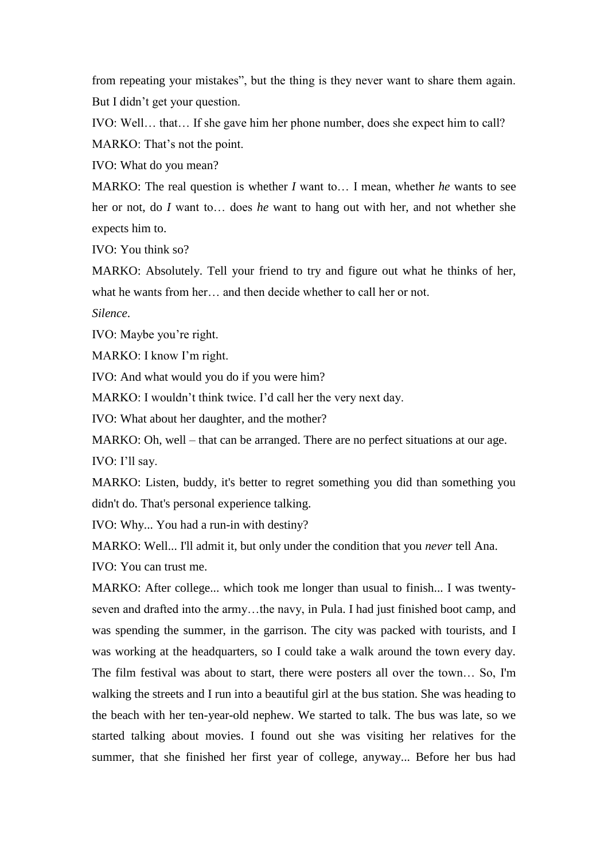from repeating your mistakes", but the thing is they never want to share them again. But I didn't get your question.

IVO: Well… that… If she gave him her phone number, does she expect him to call? MARKO: That's not the point.

IVO: What do you mean?

MARKO: The real question is whether *I* want to… I mean, whether *he* wants to see her or not, do *I* want to… does *he* want to hang out with her, and not whether she expects him to.

IVO: You think so?

MARKO: Absolutely. Tell your friend to try and figure out what he thinks of her, what he wants from her… and then decide whether to call her or not. *Silence*.

IVO: Maybe you're right.

MARKO: I know I'm right.

IVO: And what would you do if you were him?

MARKO: I wouldn't think twice. I'd call her the very next day.

IVO: What about her daughter, and the mother?

MARKO: Oh, well – that can be arranged. There are no perfect situations at our age.

IVO: I'll say.

MARKO: Listen, buddy, it's better to regret something you did than something you didn't do. That's personal experience talking.

IVO: Why... You had a run-in with destiny?

MARKO: Well... I'll admit it, but only under the condition that you *never* tell Ana.

IVO: You can trust me.

MARKO: After college... which took me longer than usual to finish... I was twentyseven and drafted into the army…the navy, in Pula. I had just finished boot camp, and was spending the summer, in the garrison. The city was packed with tourists, and I was working at the headquarters, so I could take a walk around the town every day. The film festival was about to start, there were posters all over the town… So, I'm walking the streets and I run into a beautiful girl at the bus station. She was heading to the beach with her ten-year-old nephew. We started to talk. The bus was late, so we started talking about movies. I found out she was visiting her relatives for the summer, that she finished her first year of college, anyway... Before her bus had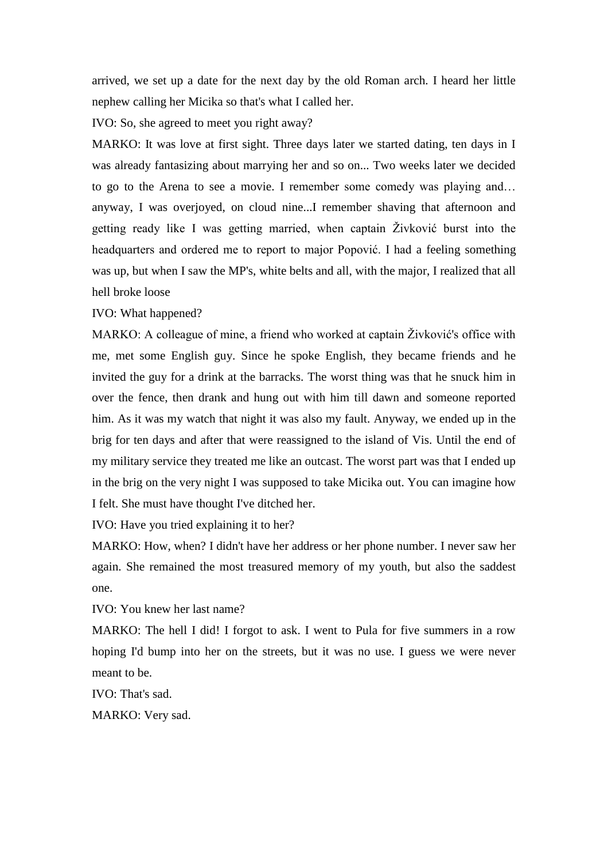arrived, we set up a date for the next day by the old Roman arch. I heard her little nephew calling her Micika so that's what I called her.

IVO: So, she agreed to meet you right away?

MARKO: It was love at first sight. Three days later we started dating, ten days in I was already fantasizing about marrying her and so on... Two weeks later we decided to go to the Arena to see a movie. I remember some comedy was playing and… anyway, I was overjoyed, on cloud nine...I remember shaving that afternoon and getting ready like I was getting married, when captain Živković burst into the headquarters and ordered me to report to major Popović. I had a feeling something was up, but when I saw the MP's, white belts and all, with the major, I realized that all hell broke loose

IVO: What happened?

MARKO: A colleague of mine, a friend who worked at captain Živković's office with me, met some English guy. Since he spoke English, they became friends and he invited the guy for a drink at the barracks. The worst thing was that he snuck him in over the fence, then drank and hung out with him till dawn and someone reported him. As it was my watch that night it was also my fault. Anyway, we ended up in the brig for ten days and after that were reassigned to the island of Vis. Until the end of my military service they treated me like an outcast. The worst part was that I ended up in the brig on the very night I was supposed to take Micika out. You can imagine how I felt. She must have thought I've ditched her.

IVO: Have you tried explaining it to her?

MARKO: How, when? I didn't have her address or her phone number. I never saw her again. She remained the most treasured memory of my youth, but also the saddest one.

IVO: You knew her last name?

MARKO: The hell I did! I forgot to ask. I went to Pula for five summers in a row hoping I'd bump into her on the streets, but it was no use. I guess we were never meant to be.

IVO: That's sad.

MARKO: Very sad.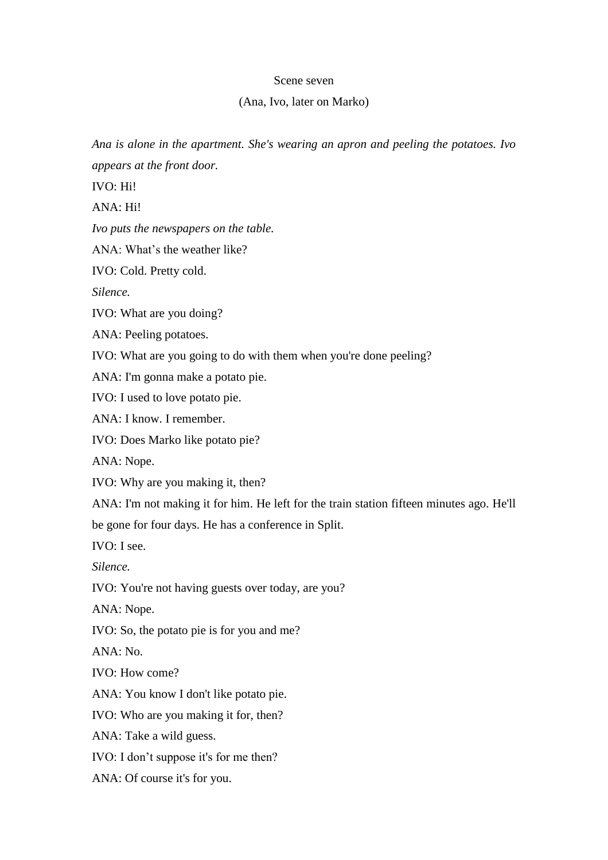## Scene seven

## (Ana, Ivo, later on Marko)

*Ana is alone in the apartment. She's wearing an apron and peeling the potatoes. Ivo appears at the front door.*

IVO: Hi!

ANA: Hi!

*Ivo puts the newspapers on the table.*

ANA: What's the weather like?

IVO: Cold. Pretty cold.

*Silence.*

IVO: What are you doing?

ANA: Peeling potatoes.

IVO: What are you going to do with them when you're done peeling?

ANA: I'm gonna make a potato pie.

IVO: I used to love potato pie.

ANA: I know. I remember.

IVO: Does Marko like potato pie?

ANA: Nope.

IVO: Why are you making it, then?

ANA: I'm not making it for him. He left for the train station fifteen minutes ago. He'll be gone for four days. He has a conference in Split.

IVO: I see.

*Silence.*

IVO: You're not having guests over today, are you?

ANA: Nope.

IVO: So, the potato pie is for you and me?

 $ANA: No.$ 

IVO: How come?

ANA: You know I don't like potato pie.

IVO: Who are you making it for, then?

ANA: Take a wild guess.

IVO: I don't suppose it's for me then?

ANA: Of course it's for you.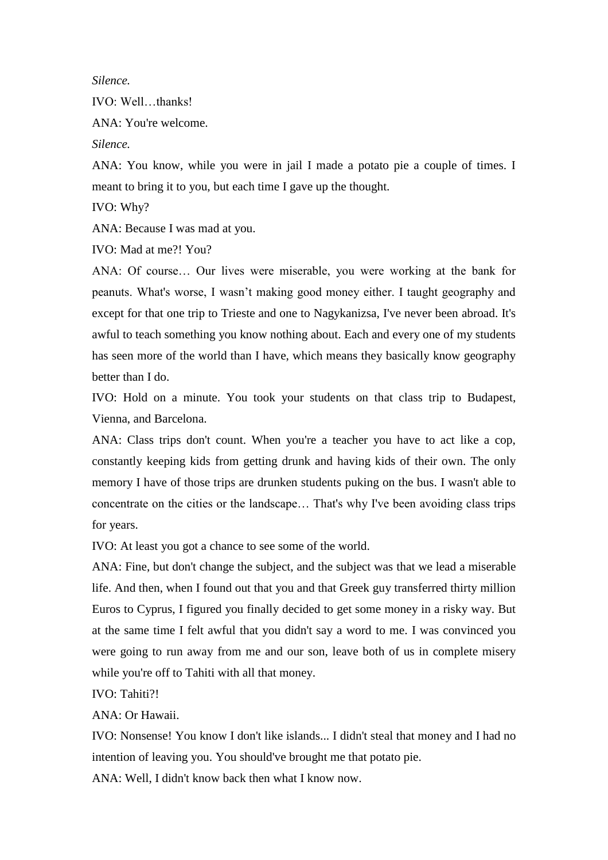*Silence.*

IVO: Well…thanks!

ANA: You're welcome.

*Silence.*

ANA: You know, while you were in jail I made a potato pie a couple of times. I meant to bring it to you, but each time I gave up the thought.

IVO: Why?

ANA: Because I was mad at you.

IVO: Mad at me?! You?

ANA: Of course… Our lives were miserable, you were working at the bank for peanuts. What's worse, I wasn't making good money either. I taught geography and except for that one trip to Trieste and one to Nagykanizsa, I've never been abroad. It's awful to teach something you know nothing about. Each and every one of my students has seen more of the world than I have, which means they basically know geography better than I do.

IVO: Hold on a minute. You took your students on that class trip to Budapest, Vienna, and Barcelona.

ANA: Class trips don't count. When you're a teacher you have to act like a cop, constantly keeping kids from getting drunk and having kids of their own. The only memory I have of those trips are drunken students puking on the bus. I wasn't able to concentrate on the cities or the landscape… That's why I've been avoiding class trips for years.

IVO: At least you got a chance to see some of the world.

ANA: Fine, but don't change the subject, and the subject was that we lead a miserable life. And then, when I found out that you and that Greek guy transferred thirty million Euros to Cyprus, I figured you finally decided to get some money in a risky way. But at the same time I felt awful that you didn't say a word to me. I was convinced you were going to run away from me and our son, leave both of us in complete misery while you're off to Tahiti with all that money.

IVO: Tahiti?!

ANA: Or Hawaii.

IVO: Nonsense! You know I don't like islands... I didn't steal that money and I had no intention of leaving you. You should've brought me that potato pie.

ANA: Well, I didn't know back then what I know now.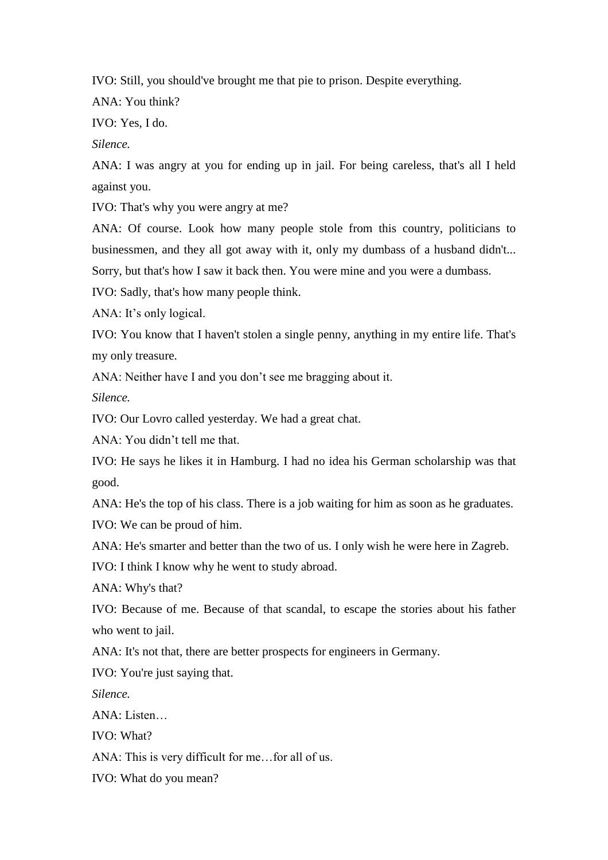IVO: Still, you should've brought me that pie to prison. Despite everything.

ANA: You think?

IVO: Yes, I do.

*Silence.*

ANA: I was angry at you for ending up in jail. For being careless, that's all I held against you.

IVO: That's why you were angry at me?

ANA: Of course. Look how many people stole from this country, politicians to businessmen, and they all got away with it, only my dumbass of a husband didn't...

Sorry, but that's how I saw it back then. You were mine and you were a dumbass.

IVO: Sadly, that's how many people think.

ANA: It's only logical.

IVO: You know that I haven't stolen a single penny, anything in my entire life. That's my only treasure.

ANA: Neither have I and you don't see me bragging about it.

*Silence.*

IVO: Our Lovro called yesterday. We had a great chat.

ANA: You didn't tell me that.

IVO: He says he likes it in Hamburg. I had no idea his German scholarship was that good.

ANA: He's the top of his class. There is a job waiting for him as soon as he graduates.

IVO: We can be proud of him.

ANA: He's smarter and better than the two of us. I only wish he were here in Zagreb.

IVO: I think I know why he went to study abroad.

ANA: Why's that?

IVO: Because of me. Because of that scandal, to escape the stories about his father who went to jail.

ANA: It's not that, there are better prospects for engineers in Germany.

IVO: You're just saying that.

*Silence.*

ANA: Listen…

IVO: What?

ANA: This is very difficult for me…for all of us.

IVO: What do you mean?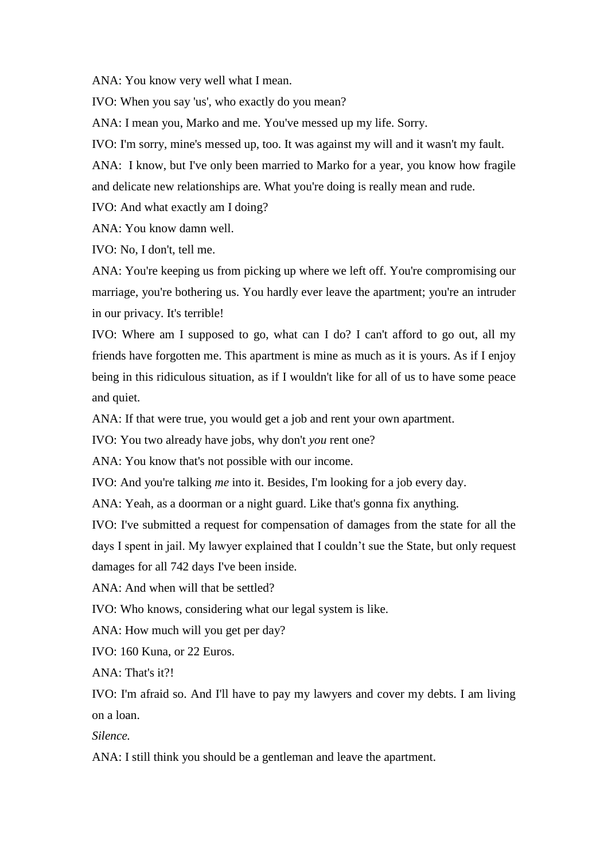ANA: You know very well what I mean.

IVO: When you say 'us', who exactly do you mean?

ANA: I mean you, Marko and me. You've messed up my life. Sorry.

IVO: I'm sorry, mine's messed up, too. It was against my will and it wasn't my fault.

ANA: I know, but I've only been married to Marko for a year, you know how fragile and delicate new relationships are. What you're doing is really mean and rude.

IVO: And what exactly am I doing?

ANA: You know damn well.

IVO: No, I don't, tell me.

ANA: You're keeping us from picking up where we left off. You're compromising our marriage, you're bothering us. You hardly ever leave the apartment; you're an intruder in our privacy. It's terrible!

IVO: Where am I supposed to go, what can I do? I can't afford to go out, all my friends have forgotten me. This apartment is mine as much as it is yours. As if I enjoy being in this ridiculous situation, as if I wouldn't like for all of us to have some peace and quiet.

ANA: If that were true, you would get a job and rent your own apartment.

IVO: You two already have jobs, why don't *you* rent one?

ANA: You know that's not possible with our income.

IVO: And you're talking *me* into it. Besides, I'm looking for a job every day.

ANA: Yeah, as a doorman or a night guard. Like that's gonna fix anything.

IVO: I've submitted a request for compensation of damages from the state for all the days I spent in jail. My lawyer explained that I couldn't sue the State, but only request damages for all 742 days I've been inside.

ANA: And when will that be settled?

IVO: Who knows, considering what our legal system is like.

ANA: How much will you get per day?

IVO: 160 Kuna, or 22 Euros.

ANA: That's it?!

IVO: I'm afraid so. And I'll have to pay my lawyers and cover my debts. I am living on a loan.

*Silence.* 

ANA: I still think you should be a gentleman and leave the apartment.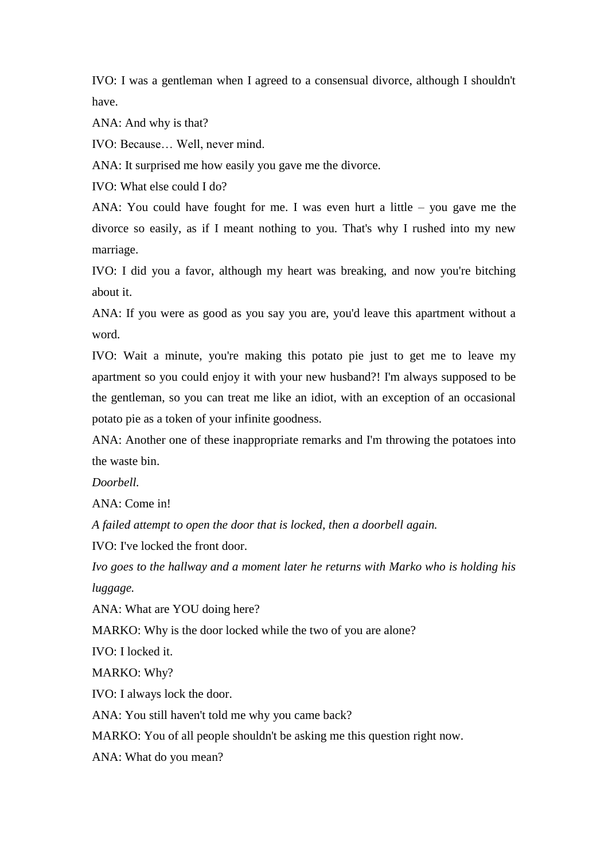IVO: I was a gentleman when I agreed to a consensual divorce, although I shouldn't have.

ANA: And why is that?

IVO: Because… Well, never mind.

ANA: It surprised me how easily you gave me the divorce.

IVO: What else could I do?

ANA: You could have fought for me. I was even hurt a little – you gave me the divorce so easily, as if I meant nothing to you. That's why I rushed into my new marriage.

IVO: I did you a favor, although my heart was breaking, and now you're bitching about it.

ANA: If you were as good as you say you are, you'd leave this apartment without a word.

IVO: Wait a minute, you're making this potato pie just to get me to leave my apartment so you could enjoy it with your new husband?! I'm always supposed to be the gentleman, so you can treat me like an idiot, with an exception of an occasional potato pie as a token of your infinite goodness.

ANA: Another one of these inappropriate remarks and I'm throwing the potatoes into the waste bin.

*Doorbell.*

ANA: Come in!

*A failed attempt to open the door that is locked, then a doorbell again.* 

IVO: I've locked the front door.

*Ivo goes to the hallway and a moment later he returns with Marko who is holding his luggage.*

ANA: What are YOU doing here?

MARKO: Why is the door locked while the two of you are alone?

IVO: I locked it.

MARKO: Why?

IVO: I always lock the door.

ANA: You still haven't told me why you came back?

MARKO: You of all people shouldn't be asking me this question right now.

ANA: What do you mean?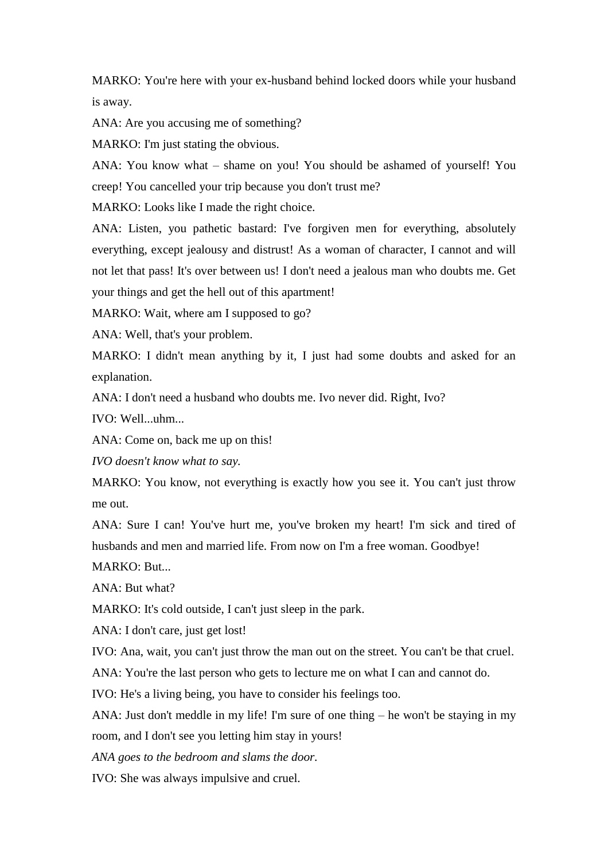MARKO: You're here with your ex-husband behind locked doors while your husband is away.

ANA: Are you accusing me of something?

MARKO: I'm just stating the obvious.

ANA: You know what – shame on you! You should be ashamed of yourself! You creep! You cancelled your trip because you don't trust me?

MARKO: Looks like I made the right choice.

ANA: Listen, you pathetic bastard: I've forgiven men for everything, absolutely everything, except jealousy and distrust! As a woman of character, I cannot and will not let that pass! It's over between us! I don't need a jealous man who doubts me. Get your things and get the hell out of this apartment!

MARKO: Wait, where am I supposed to go?

ANA: Well, that's your problem.

MARKO: I didn't mean anything by it, I just had some doubts and asked for an explanation.

ANA: I don't need a husband who doubts me. Ivo never did. Right, Ivo?

IVO: Well...uhm...

ANA: Come on, back me up on this!

*IVO doesn't know what to say.*

MARKO: You know, not everything is exactly how you see it. You can't just throw me out.

ANA: Sure I can! You've hurt me, you've broken my heart! I'm sick and tired of husbands and men and married life. From now on I'm a free woman. Goodbye!

MARKO: But...

ANA: But what?

MARKO: It's cold outside, I can't just sleep in the park.

ANA: I don't care, just get lost!

IVO: Ana, wait, you can't just throw the man out on the street. You can't be that cruel.

ANA: You're the last person who gets to lecture me on what I can and cannot do.

IVO: He's a living being, you have to consider his feelings too.

ANA: Just don't meddle in my life! I'm sure of one thing – he won't be staying in my room, and I don't see you letting him stay in yours!

*ANA goes to the bedroom and slams the door.*

IVO: She was always impulsive and cruel.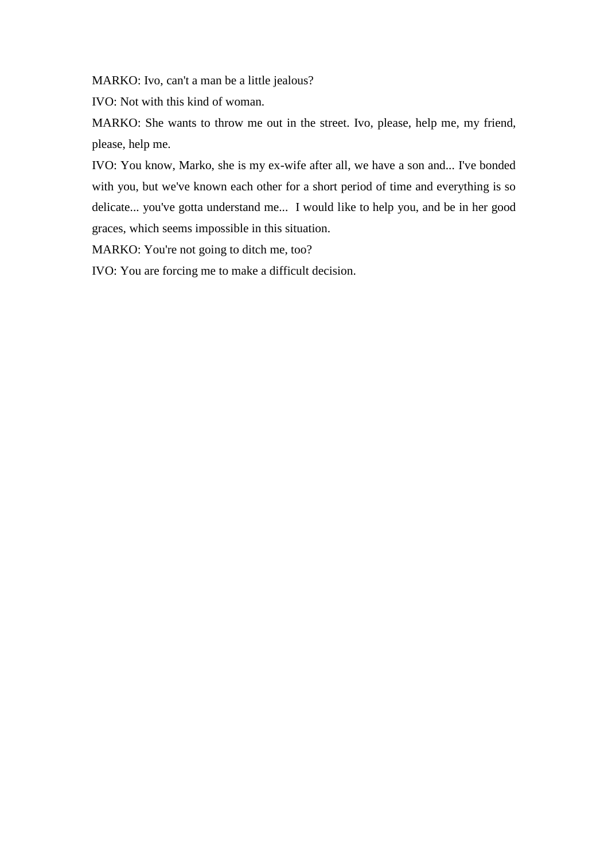MARKO: Ivo, can't a man be a little jealous?

IVO: Not with this kind of woman.

MARKO: She wants to throw me out in the street. Ivo, please, help me, my friend, please, help me.

IVO: You know, Marko, she is my ex-wife after all, we have a son and... I've bonded with you, but we've known each other for a short period of time and everything is so delicate... you've gotta understand me... I would like to help you, and be in her good graces, which seems impossible in this situation.

MARKO: You're not going to ditch me, too?

IVO: You are forcing me to make a difficult decision.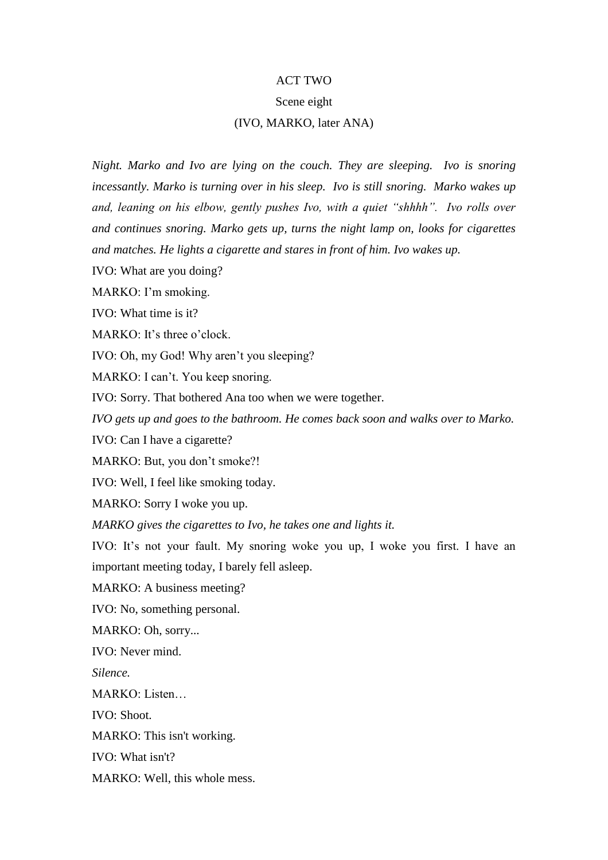## ACT TWO

## Scene eight

## (IVO, MARKO, later ANA)

*Night. Marko and Ivo are lying on the couch. They are sleeping. Ivo is snoring incessantly. Marko is turning over in his sleep. Ivo is still snoring. Marko wakes up and, leaning on his elbow, gently pushes Ivo, with a quiet "shhhh". Ivo rolls over and continues snoring. Marko gets up, turns the night lamp on, looks for cigarettes and matches. He lights a cigarette and stares in front of him. Ivo wakes up.* 

IVO: What are you doing?

MARKO: I'm smoking.

IVO: What time is it?

MARKO: It's three o'clock.

IVO: Oh, my God! Why aren't you sleeping?

MARKO: I can't. You keep snoring.

IVO: Sorry. That bothered Ana too when we were together.

*IVO gets up and goes to the bathroom. He comes back soon and walks over to Marko.* 

IVO: Can I have a cigarette?

MARKO: But, you don't smoke?!

IVO: Well, I feel like smoking today.

MARKO: Sorry I woke you up.

*MARKO gives the cigarettes to Ivo, he takes one and lights it.* 

IVO: It's not your fault. My snoring woke you up, I woke you first. I have an important meeting today, I barely fell asleep.

MARKO: A business meeting?

IVO: No, something personal.

MARKO: Oh, sorry...

IVO: Never mind.

*Silence.*

MARKO: Listen…

IVO: Shoot.

MARKO: This isn't working.

IVO: What isn't?

MARKO: Well, this whole mess.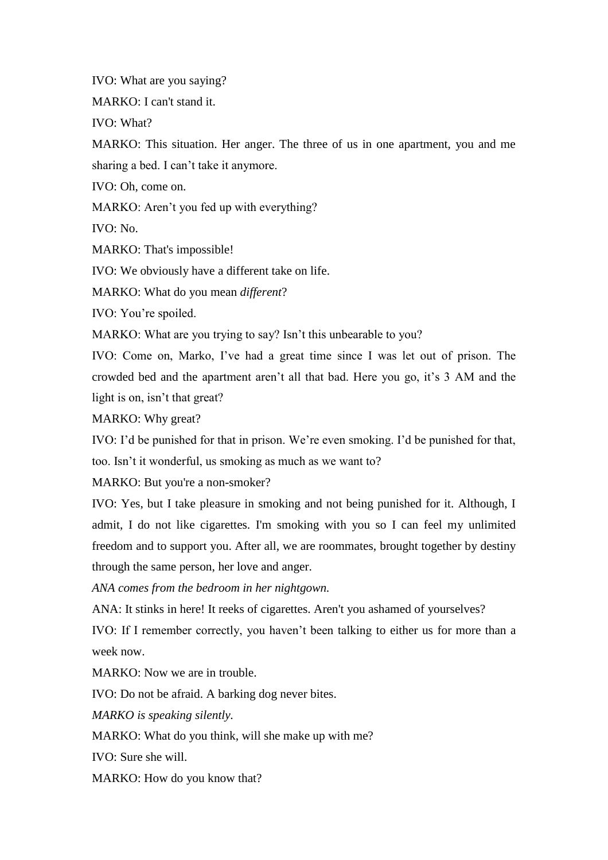IVO: What are you saying?

MARKO: I can't stand it.

IVO: What?

MARKO: This situation. Her anger. The three of us in one apartment, you and me sharing a bed. I can't take it anymore.

IVO: Oh, come on.

MARKO: Aren't you fed up with everything?

IVO: No.

MARKO: That's impossible!

IVO: We obviously have a different take on life.

MARKO: What do you mean *different*?

IVO: You're spoiled.

MARKO: What are you trying to say? Isn't this unbearable to you?

IVO: Come on, Marko, I've had a great time since I was let out of prison. The crowded bed and the apartment aren't all that bad. Here you go, it's 3 AM and the light is on, isn't that great?

MARKO: Why great?

IVO: I'd be punished for that in prison. We're even smoking. I'd be punished for that, too. Isn't it wonderful, us smoking as much as we want to?

MARKO: But you're a non-smoker?

IVO: Yes, but I take pleasure in smoking and not being punished for it. Although, I admit, I do not like cigarettes. I'm smoking with you so I can feel my unlimited freedom and to support you. After all, we are roommates, brought together by destiny through the same person, her love and anger.

*ANA comes from the bedroom in her nightgown.* 

ANA: It stinks in here! It reeks of cigarettes. Aren't you ashamed of yourselves?

IVO: If I remember correctly, you haven't been talking to either us for more than a week now.

MARKO: Now we are in trouble.

IVO: Do not be afraid. A barking dog never bites.

*MARKO is speaking silently.* 

MARKO: What do you think, will she make up with me?

IVO: Sure she will.

MARKO: How do you know that?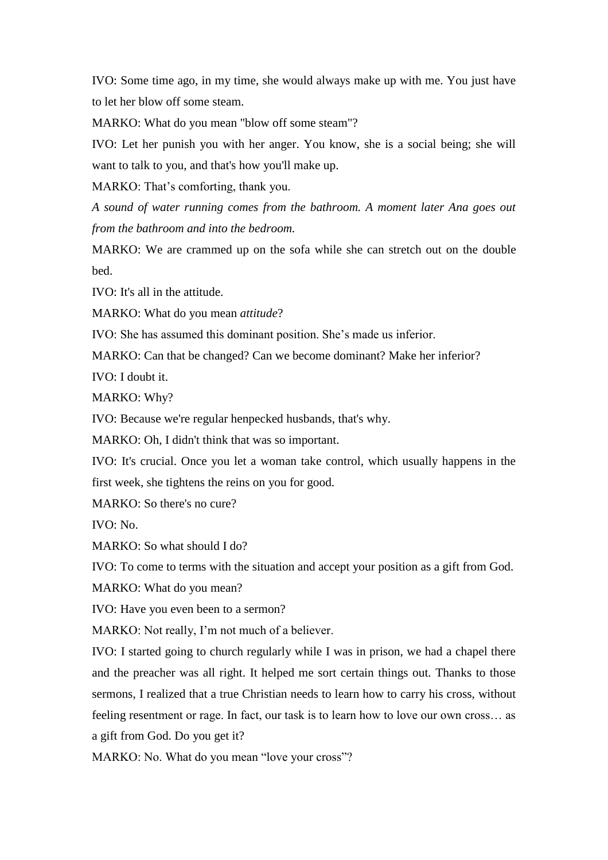IVO: Some time ago, in my time, she would always make up with me. You just have to let her blow off some steam.

MARKO: What do you mean "blow off some steam"?

IVO: Let her punish you with her anger. You know, she is a social being; she will want to talk to you, and that's how you'll make up.

MARKO: That's comforting, thank you.

*A sound of water running comes from the bathroom. A moment later Ana goes out from the bathroom and into the bedroom.*

MARKO: We are crammed up on the sofa while she can stretch out on the double bed.

IVO: It's all in the attitude.

MARKO: What do you mean *attitude*?

IVO: She has assumed this dominant position. She's made us inferior.

MARKO: Can that be changed? Can we become dominant? Make her inferior?

IVO: I doubt it.

MARKO: Why?

IVO: Because we're regular henpecked husbands, that's why.

MARKO: Oh, I didn't think that was so important.

IVO: It's crucial. Once you let a woman take control, which usually happens in the first week, she tightens the reins on you for good.

MARKO: So there's no cure?

IVO: No.

MARKO: So what should I do?

IVO: To come to terms with the situation and accept your position as a gift from God.

MARKO: What do you mean?

IVO: Have you even been to a sermon?

MARKO: Not really, I'm not much of a believer.

IVO: I started going to church regularly while I was in prison, we had a chapel there and the preacher was all right. It helped me sort certain things out. Thanks to those sermons, I realized that a true Christian needs to learn how to carry his cross, without feeling resentment or rage. In fact, our task is to learn how to love our own cross… as a gift from God. Do you get it?

MARKO: No. What do you mean "love your cross"?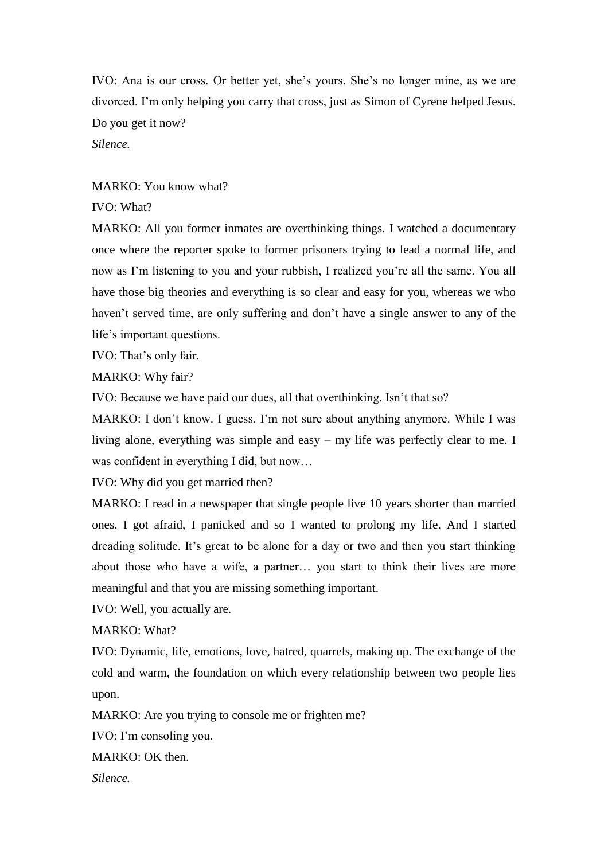IVO: Ana is our cross. Or better yet, she's yours. She's no longer mine, as we are divorced. I'm only helping you carry that cross, just as Simon of Cyrene helped Jesus. Do you get it now? *Silence.*

MARKO: You know what?

IVO: What?

MARKO: All you former inmates are overthinking things. I watched a documentary once where the reporter spoke to former prisoners trying to lead a normal life, and now as I'm listening to you and your rubbish, I realized you're all the same. You all have those big theories and everything is so clear and easy for you, whereas we who haven't served time, are only suffering and don't have a single answer to any of the life's important questions.

IVO: That's only fair.

MARKO: Why fair?

IVO: Because we have paid our dues, all that overthinking. Isn't that so?

MARKO: I don't know. I guess. I'm not sure about anything anymore. While I was living alone, everything was simple and easy – my life was perfectly clear to me. I was confident in everything I did, but now...

IVO: Why did you get married then?

MARKO: I read in a newspaper that single people live 10 years shorter than married ones. I got afraid, I panicked and so I wanted to prolong my life. And I started dreading solitude. It's great to be alone for a day or two and then you start thinking about those who have a wife, a partner… you start to think their lives are more meaningful and that you are missing something important.

IVO: Well, you actually are.

MARKO: What?

IVO: Dynamic, life, emotions, love, hatred, quarrels, making up. The exchange of the cold and warm, the foundation on which every relationship between two people lies upon.

MARKO: Are you trying to console me or frighten me?

IVO: I'm consoling you.

MARKO: OK then.

*Silence.*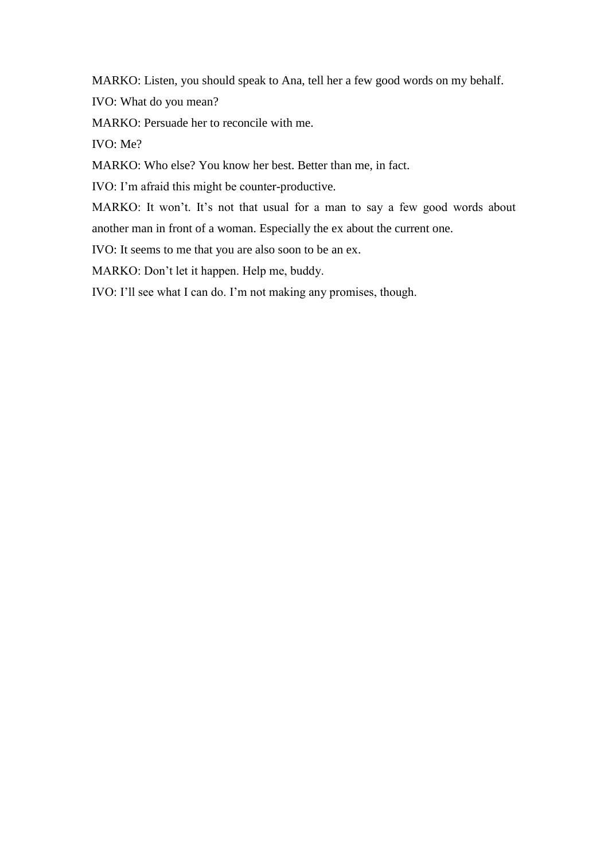MARKO: Listen, you should speak to Ana, tell her a few good words on my behalf.

IVO: What do you mean?

MARKO: Persuade her to reconcile with me.

IVO: Me?

MARKO: Who else? You know her best. Better than me, in fact.

IVO: I'm afraid this might be counter-productive.

MARKO: It won't. It's not that usual for a man to say a few good words about another man in front of a woman. Especially the ex about the current one.

IVO: It seems to me that you are also soon to be an ex.

MARKO: Don't let it happen. Help me, buddy.

IVO: I'll see what I can do. I'm not making any promises, though.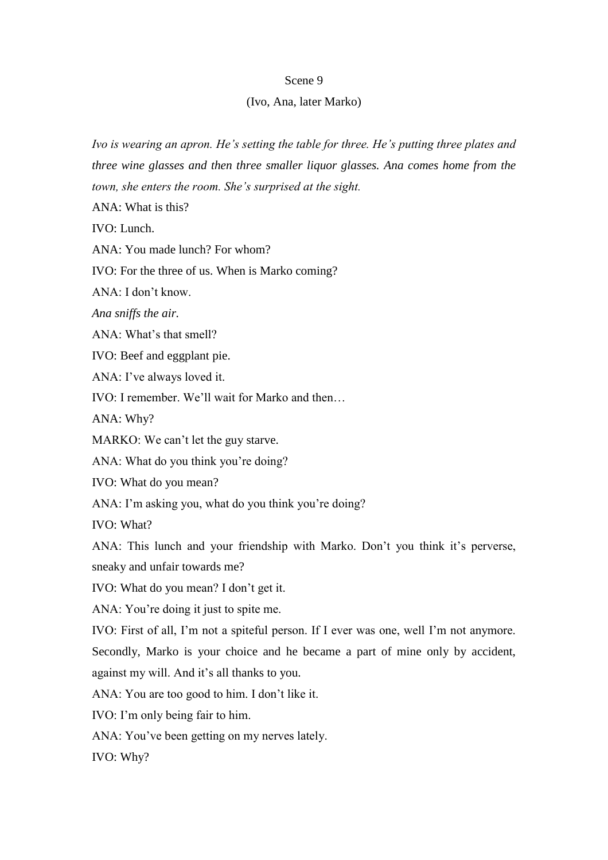## Scene 9

## (Ivo, Ana, later Marko)

*Ivo is wearing an apron. He's setting the table for three. He's putting three plates and three wine glasses and then three smaller liquor glasses. Ana comes home from the town, she enters the room. She's surprised at the sight.*

ANA: What is this?

IVO: Lunch.

ANA: You made lunch? For whom?

IVO: For the three of us. When is Marko coming?

ANA: I don't know.

*Ana sniffs the air.*

ANA: What's that smell?

IVO: Beef and eggplant pie.

ANA: I've always loved it.

IVO: I remember. We'll wait for Marko and then…

ANA: Why?

MARKO: We can't let the guy starve.

ANA: What do you think you're doing?

IVO: What do you mean?

ANA: I'm asking you, what do you think you're doing?

IVO: What?

ANA: This lunch and your friendship with Marko. Don't you think it's perverse, sneaky and unfair towards me?

IVO: What do you mean? I don't get it.

ANA: You're doing it just to spite me.

IVO: First of all, I'm not a spiteful person. If I ever was one, well I'm not anymore.

Secondly, Marko is your choice and he became a part of mine only by accident, against my will. And it's all thanks to you.

ANA: You are too good to him. I don't like it.

IVO: I'm only being fair to him.

ANA: You've been getting on my nerves lately.

IVO: Why?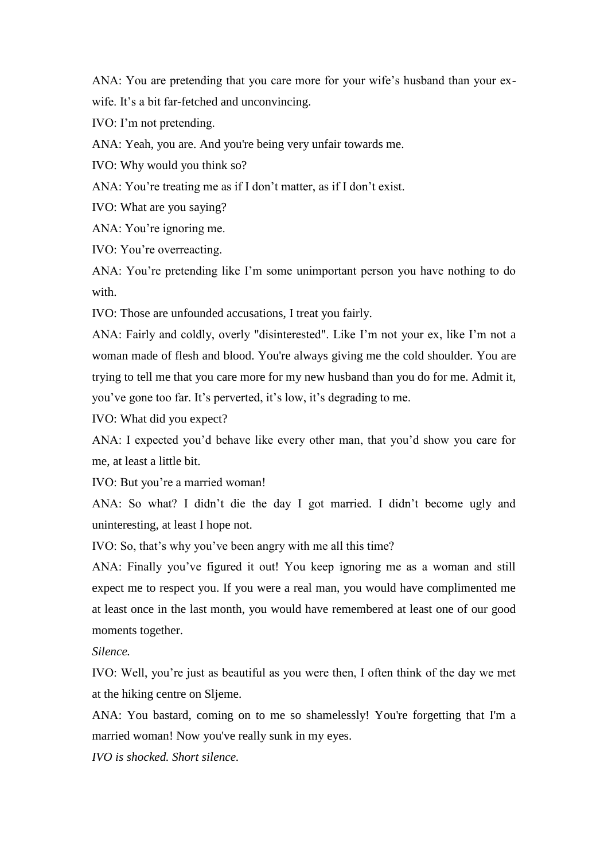ANA: You are pretending that you care more for your wife's husband than your exwife. It's a bit far-fetched and unconvincing.

IVO: I'm not pretending.

ANA: Yeah, you are. And you're being very unfair towards me.

IVO: Why would you think so?

ANA: You're treating me as if I don't matter, as if I don't exist.

IVO: What are you saying?

ANA: You're ignoring me.

IVO: You're overreacting.

ANA: You're pretending like I'm some unimportant person you have nothing to do with.

IVO: Those are unfounded accusations, I treat you fairly.

ANA: Fairly and coldly, overly "disinterested". Like I'm not your ex, like I'm not a woman made of flesh and blood. You're always giving me the cold shoulder. You are trying to tell me that you care more for my new husband than you do for me. Admit it, you've gone too far. It's perverted, it's low, it's degrading to me.

IVO: What did you expect?

ANA: I expected you'd behave like every other man, that you'd show you care for me, at least a little bit.

IVO: But you're a married woman!

ANA: So what? I didn't die the day I got married. I didn't become ugly and uninteresting, at least I hope not.

IVO: So, that's why you've been angry with me all this time?

ANA: Finally you've figured it out! You keep ignoring me as a woman and still expect me to respect you. If you were a real man, you would have complimented me at least once in the last month, you would have remembered at least one of our good moments together.

## *Silence.*

IVO: Well, you're just as beautiful as you were then, I often think of the day we met at the hiking centre on Sljeme.

ANA: You bastard, coming on to me so shamelessly! You're forgetting that I'm a married woman! Now you've really sunk in my eyes.

*IVO is shocked. Short silence.*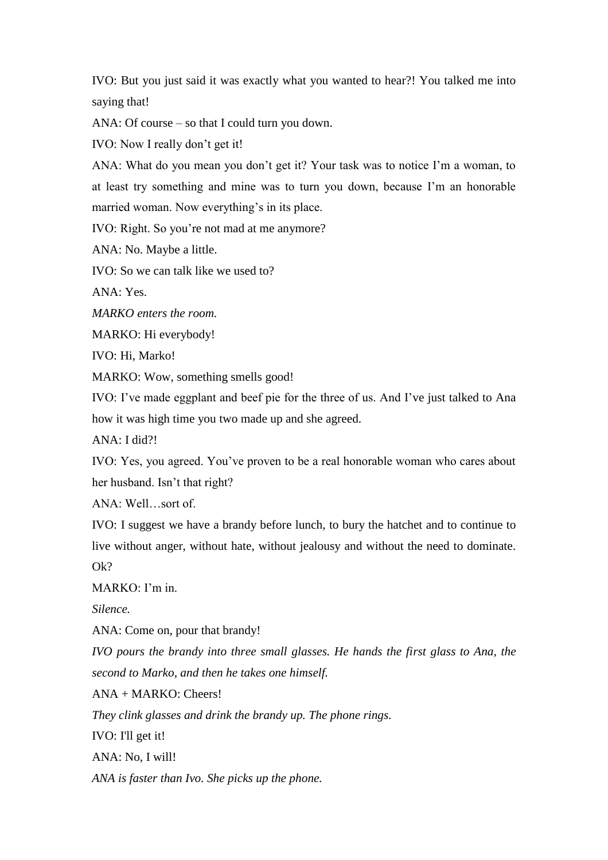IVO: But you just said it was exactly what you wanted to hear?! You talked me into saying that!

ANA: Of course – so that I could turn you down.

IVO: Now I really don't get it!

ANA: What do you mean you don't get it? Your task was to notice I'm a woman, to at least try something and mine was to turn you down, because I'm an honorable married woman. Now everything's in its place.

IVO: Right. So you're not mad at me anymore?

ANA: No. Maybe a little.

IVO: So we can talk like we used to?

ANA: Yes.

*MARKO enters the room.*

MARKO: Hi everybody!

IVO: Hi, Marko!

MARKO: Wow, something smells good!

IVO: I've made eggplant and beef pie for the three of us. And I've just talked to Ana how it was high time you two made up and she agreed.

ANA: I did?!

IVO: Yes, you agreed. You've proven to be a real honorable woman who cares about her husband. Isn't that right?

ANA: Well…sort of.

IVO: I suggest we have a brandy before lunch, to bury the hatchet and to continue to live without anger, without hate, without jealousy and without the need to dominate. Ok?

MARKO: I'm in.

*Silence.*

ANA: Come on, pour that brandy!

*IVO pours the brandy into three small glasses. He hands the first glass to Ana, the second to Marko, and then he takes one himself.*

ANA + MARKO: Cheers!

*They clink glasses and drink the brandy up. The phone rings.*

IVO: I'll get it!

ANA: No, I will!

*ANA is faster than Ivo. She picks up the phone.*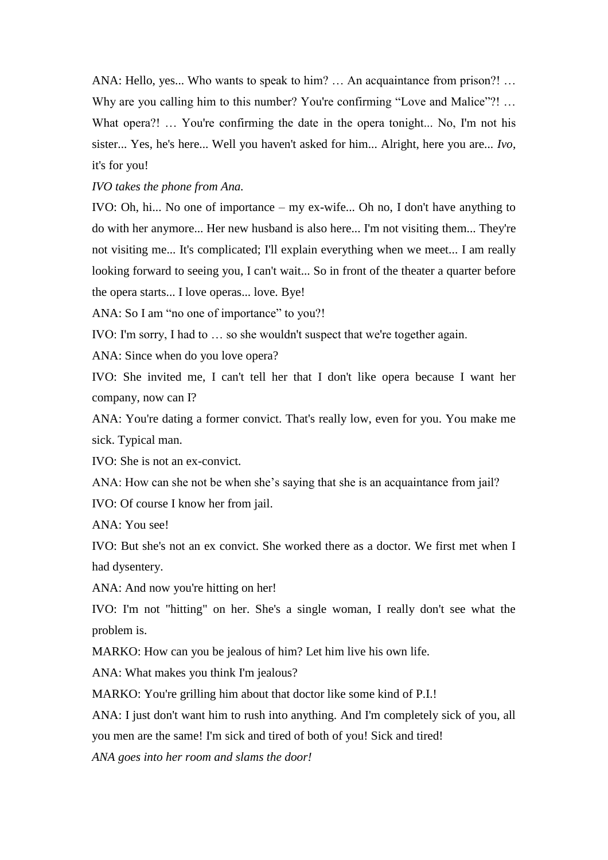ANA: Hello, yes... Who wants to speak to him? … An acquaintance from prison?! … Why are you calling him to this number? You're confirming "Love and Malice"?! ... What opera?! ... You're confirming the date in the opera tonight... No, I'm not his sister... Yes, he's here... Well you haven't asked for him... Alright, here you are... *Ivo*, it's for you!

*IVO takes the phone from Ana.*

IVO: Oh, hi... No one of importance – my ex-wife... Oh no, I don't have anything to do with her anymore... Her new husband is also here... I'm not visiting them... They're not visiting me... It's complicated; I'll explain everything when we meet... I am really looking forward to seeing you, I can't wait... So in front of the theater a quarter before the opera starts... I love operas... love. Bye!

ANA: So I am "no one of importance" to you?!

IVO: I'm sorry, I had to … so she wouldn't suspect that we're together again.

ANA: Since when do you love opera?

IVO: She invited me, I can't tell her that I don't like opera because I want her company, now can I?

ANA: You're dating a former convict. That's really low, even for you. You make me sick. Typical man.

IVO: She is not an ex-convict.

ANA: How can she not be when she's saying that she is an acquaintance from jail?

IVO: Of course I know her from jail.

ANA: You see!

IVO: But she's not an ex convict. She worked there as a doctor. We first met when I had dysentery.

ANA: And now you're hitting on her!

IVO: I'm not "hitting" on her. She's a single woman, I really don't see what the problem is.

MARKO: How can you be jealous of him? Let him live his own life.

ANA: What makes you think I'm jealous?

MARKO: You're grilling him about that doctor like some kind of P.I.!

ANA: I just don't want him to rush into anything. And I'm completely sick of you, all you men are the same! I'm sick and tired of both of you! Sick and tired!

*ANA goes into her room and slams the door!*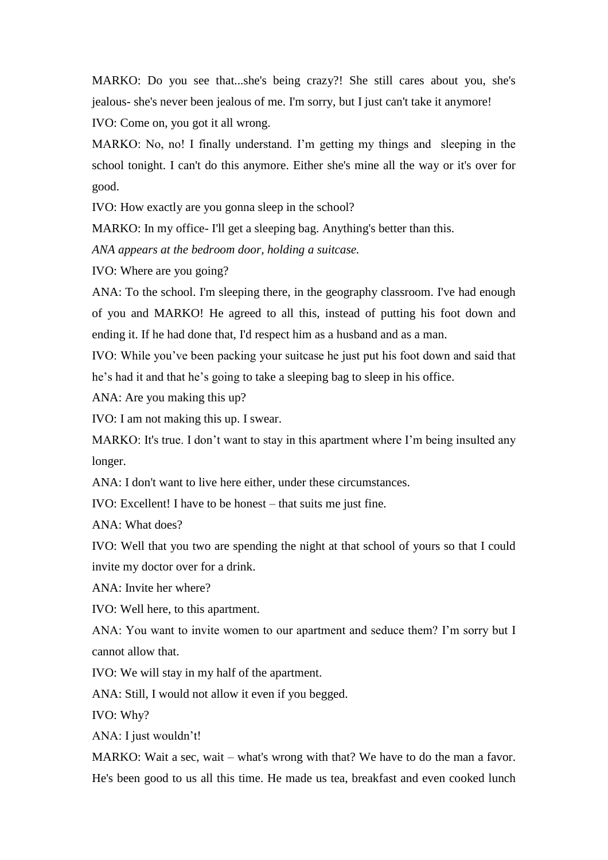MARKO: Do you see that...she's being crazy?! She still cares about you, she's jealous- she's never been jealous of me. I'm sorry, but I just can't take it anymore!

IVO: Come on, you got it all wrong.

MARKO: No, no! I finally understand. I'm getting my things and sleeping in the school tonight. I can't do this anymore. Either she's mine all the way or it's over for good.

IVO: How exactly are you gonna sleep in the school?

MARKO: In my office- I'll get a sleeping bag. Anything's better than this.

*ANA appears at the bedroom door, holding a suitcase.*

IVO: Where are you going?

ANA: To the school. I'm sleeping there, in the geography classroom. I've had enough of you and MARKO! He agreed to all this, instead of putting his foot down and ending it. If he had done that, I'd respect him as a husband and as a man.

IVO: While you've been packing your suitcase he just put his foot down and said that he's had it and that he's going to take a sleeping bag to sleep in his office.

ANA: Are you making this up?

IVO: I am not making this up. I swear.

MARKO: It's true. I don't want to stay in this apartment where I'm being insulted any longer.

ANA: I don't want to live here either, under these circumstances.

IVO: Excellent! I have to be honest – that suits me just fine.

ANA: What does?

IVO: Well that you two are spending the night at that school of yours so that I could invite my doctor over for a drink.

ANA: Invite her where?

IVO: Well here, to this apartment.

ANA: You want to invite women to our apartment and seduce them? I'm sorry but I cannot allow that.

IVO: We will stay in my half of the apartment.

ANA: Still, I would not allow it even if you begged.

IVO: Why?

ANA: I just wouldn't!

MARKO: Wait a sec, wait – what's wrong with that? We have to do the man a favor. He's been good to us all this time. He made us tea, breakfast and even cooked lunch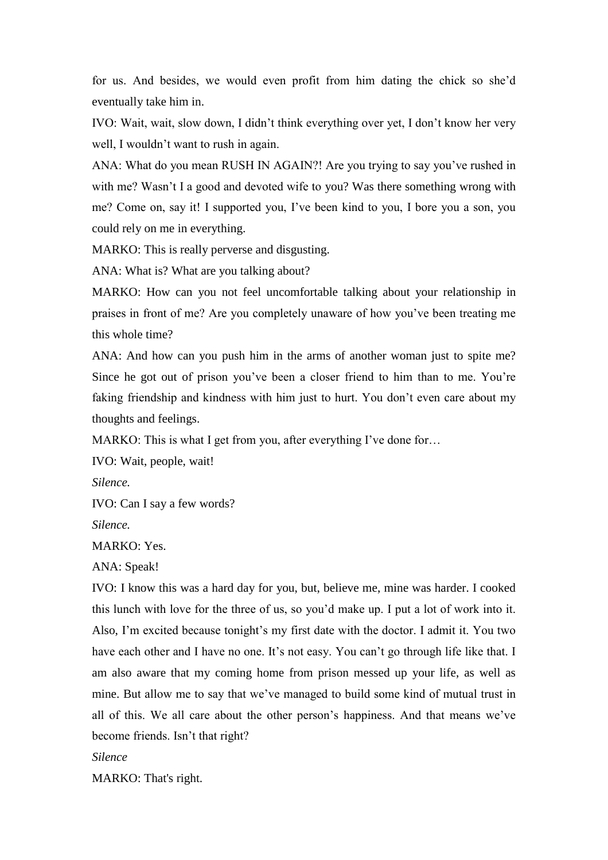for us. And besides, we would even profit from him dating the chick so she'd eventually take him in.

IVO: Wait, wait, slow down, I didn't think everything over yet, I don't know her very well, I wouldn't want to rush in again.

ANA: What do you mean RUSH IN AGAIN?! Are you trying to say you've rushed in with me? Wasn't I a good and devoted wife to you? Was there something wrong with me? Come on, say it! I supported you, I've been kind to you, I bore you a son, you could rely on me in everything.

MARKO: This is really perverse and disgusting.

ANA: What is? What are you talking about?

MARKO: How can you not feel uncomfortable talking about your relationship in praises in front of me? Are you completely unaware of how you've been treating me this whole time?

ANA: And how can you push him in the arms of another woman just to spite me? Since he got out of prison you've been a closer friend to him than to me. You're faking friendship and kindness with him just to hurt. You don't even care about my thoughts and feelings.

MARKO: This is what I get from you, after everything I've done for...

IVO: Wait, people, wait!

*Silence.* 

IVO: Can I say a few words?

*Silence.*

MARKO: Yes.

ANA: Speak!

IVO: I know this was a hard day for you, but, believe me, mine was harder. I cooked this lunch with love for the three of us, so you'd make up. I put a lot of work into it. Also, I'm excited because tonight's my first date with the doctor. I admit it. You two have each other and I have no one. It's not easy. You can't go through life like that. I am also aware that my coming home from prison messed up your life, as well as mine. But allow me to say that we've managed to build some kind of mutual trust in all of this. We all care about the other person's happiness. And that means we've become friends. Isn't that right?

*Silence*

MARKO: That's right.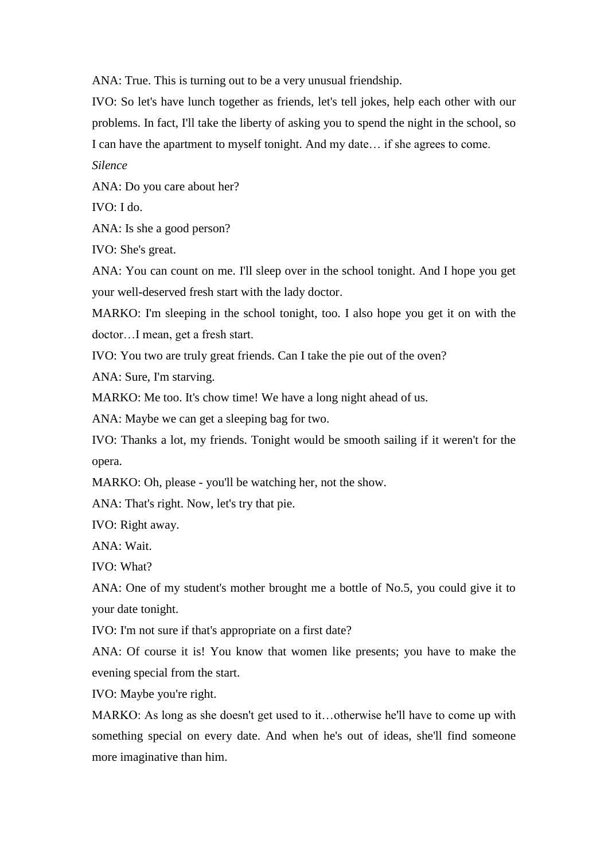ANA: True. This is turning out to be a very unusual friendship.

IVO: So let's have lunch together as friends, let's tell jokes, help each other with our problems. In fact, I'll take the liberty of asking you to spend the night in the school, so I can have the apartment to myself tonight. And my date… if she agrees to come.

*Silence*

ANA: Do you care about her?

IVO: I do.

ANA: Is she a good person?

IVO: She's great.

ANA: You can count on me. I'll sleep over in the school tonight. And I hope you get your well-deserved fresh start with the lady doctor.

MARKO: I'm sleeping in the school tonight, too. I also hope you get it on with the doctor…I mean, get a fresh start.

IVO: You two are truly great friends. Can I take the pie out of the oven?

ANA: Sure, I'm starving.

MARKO: Me too. It's chow time! We have a long night ahead of us.

ANA: Maybe we can get a sleeping bag for two.

IVO: Thanks a lot, my friends. Tonight would be smooth sailing if it weren't for the opera.

MARKO: Oh, please - you'll be watching her, not the show.

ANA: That's right. Now, let's try that pie.

IVO: Right away.

ANA: Wait.

IVO: What?

ANA: One of my student's mother brought me a bottle of No.5, you could give it to your date tonight.

IVO: I'm not sure if that's appropriate on a first date?

ANA: Of course it is! You know that women like presents; you have to make the evening special from the start.

IVO: Maybe you're right.

MARKO: As long as she doesn't get used to it…otherwise he'll have to come up with something special on every date. And when he's out of ideas, she'll find someone more imaginative than him.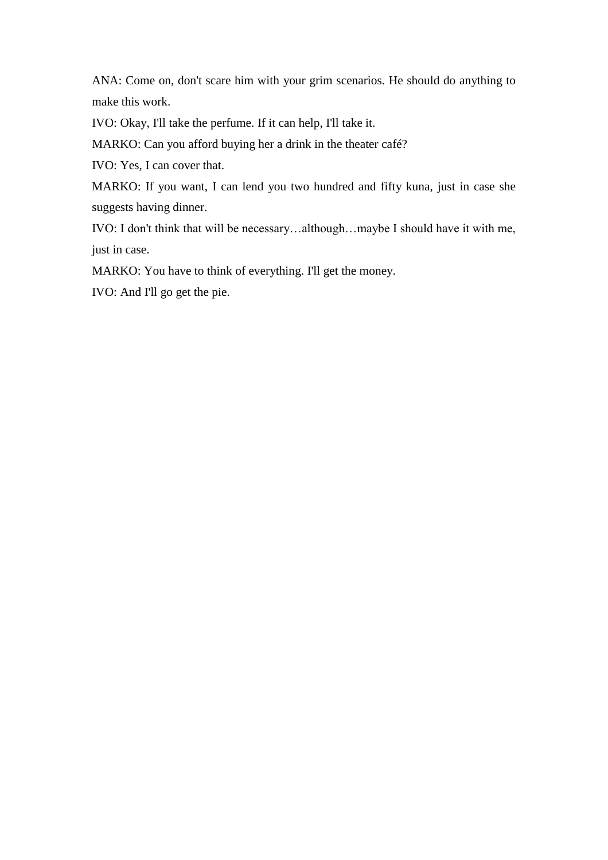ANA: Come on, don't scare him with your grim scenarios. He should do anything to make this work.

IVO: Okay, I'll take the perfume. If it can help, I'll take it.

MARKO: Can you afford buying her a drink in the theater café?

IVO: Yes, I can cover that.

MARKO: If you want, I can lend you two hundred and fifty kuna, just in case she suggests having dinner.

IVO: I don't think that will be necessary…although…maybe I should have it with me, just in case.

MARKO: You have to think of everything. I'll get the money.

IVO: And I'll go get the pie.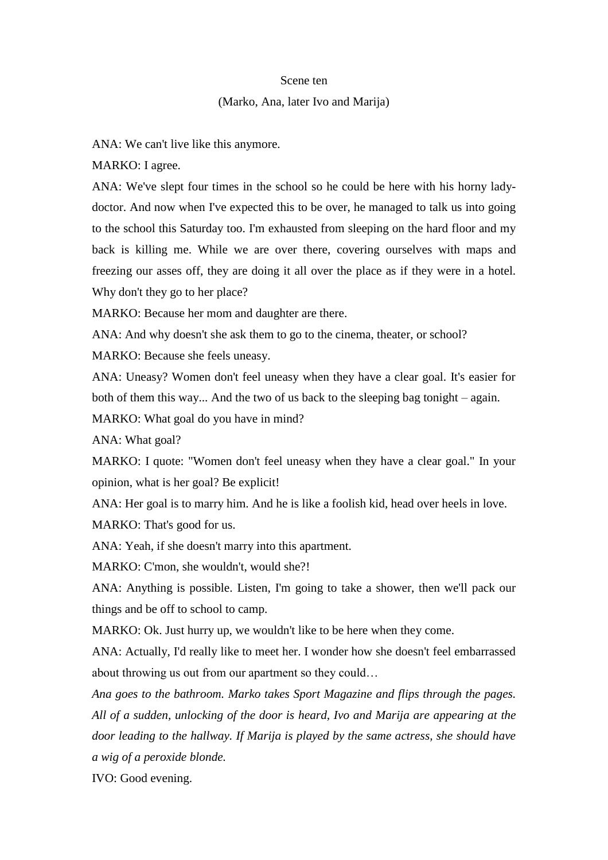#### Scene ten

## (Marko, Ana, later Ivo and Marija)

ANA: We can't live like this anymore.

MARKO: I agree.

ANA: We've slept four times in the school so he could be here with his horny ladydoctor. And now when I've expected this to be over, he managed to talk us into going to the school this Saturday too. I'm exhausted from sleeping on the hard floor and my back is killing me. While we are over there, covering ourselves with maps and freezing our asses off, they are doing it all over the place as if they were in a hotel. Why don't they go to her place?

MARKO: Because her mom and daughter are there.

ANA: And why doesn't she ask them to go to the cinema, theater, or school?

MARKO: Because she feels uneasy.

ANA: Uneasy? Women don't feel uneasy when they have a clear goal. It's easier for both of them this way... And the two of us back to the sleeping bag tonight – again.

MARKO: What goal do you have in mind?

ANA: What goal?

MARKO: I quote: "Women don't feel uneasy when they have a clear goal." In your opinion, what is her goal? Be explicit!

ANA: Her goal is to marry him. And he is like a foolish kid, head over heels in love. MARKO: That's good for us.

ANA: Yeah, if she doesn't marry into this apartment.

MARKO: C'mon, she wouldn't, would she?!

ANA: Anything is possible. Listen, I'm going to take a shower, then we'll pack our things and be off to school to camp.

MARKO: Ok. Just hurry up, we wouldn't like to be here when they come.

ANA: Actually, I'd really like to meet her. I wonder how she doesn't feel embarrassed about throwing us out from our apartment so they could…

*Ana goes to the bathroom. Marko takes Sport Magazine and flips through the pages. All of a sudden, unlocking of the door is heard, Ivo and Marija are appearing at the door leading to the hallway. If Marija is played by the same actress, she should have a wig of a peroxide blonde.*

IVO: Good evening.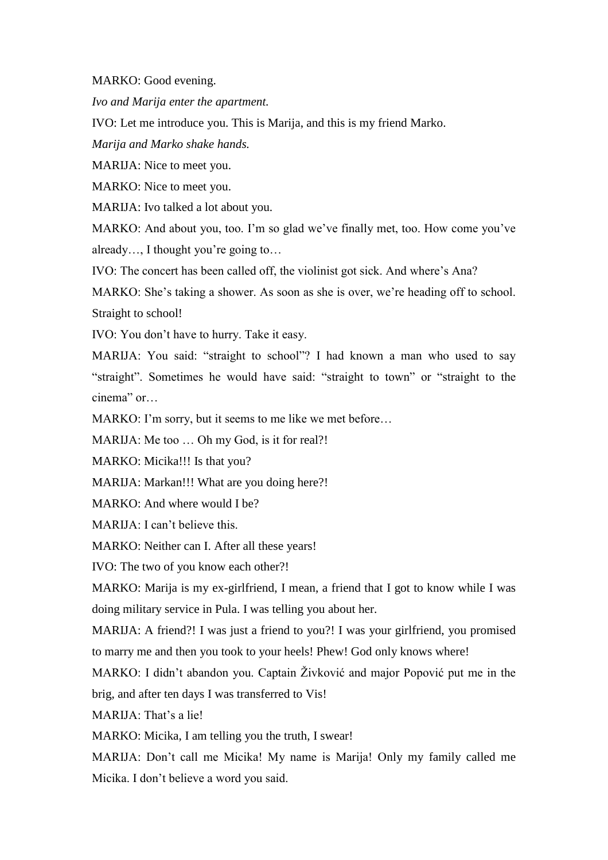MARKO: Good evening.

*Ivo and Marija enter the apartment.*

IVO: Let me introduce you. This is Marija, and this is my friend Marko.

*Marija and Marko shake hands.*

MARIJA: Nice to meet you.

MARKO: Nice to meet you.

MARIJA: Ivo talked a lot about you.

MARKO: And about you, too. I'm so glad we've finally met, too. How come you've already…, I thought you're going to…

IVO: The concert has been called off, the violinist got sick. And where's Ana?

MARKO: She's taking a shower. As soon as she is over, we're heading off to school. Straight to school!

IVO: You don't have to hurry. Take it easy.

MARIJA: You said: "straight to school"? I had known a man who used to say "straight". Sometimes he would have said: "straight to town" or "straight to the cinema" or…

MARKO: I'm sorry, but it seems to me like we met before...

MARIJA: Me too ... Oh my God, is it for real?!

MARKO: Micika!!! Is that you?

MARIJA: Markan!!! What are you doing here?!

MARKO: And where would I be?

MARIJA: I can't believe this.

MARKO: Neither can I. After all these years!

IVO: The two of you know each other?!

MARKO: Marija is my ex-girlfriend, I mean, a friend that I got to know while I was doing military service in Pula. I was telling you about her.

MARIJA: A friend?! I was just a friend to you?! I was your girlfriend, you promised to marry me and then you took to your heels! Phew! God only knows where!

MARKO: I didn't abandon you. Captain Živković and major Popović put me in the brig, and after ten days I was transferred to Vis!

MARIJA: That's a lie!

MARKO: Micika, I am telling you the truth, I swear!

MARIJA: Don't call me Micika! My name is Marija! Only my family called me Micika. I don't believe a word you said.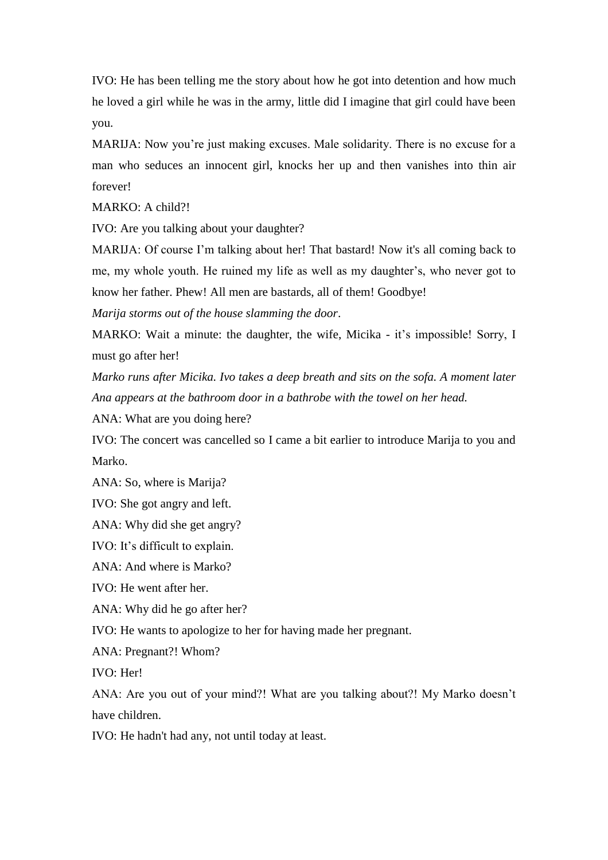IVO: He has been telling me the story about how he got into detention and how much he loved a girl while he was in the army, little did I imagine that girl could have been you.

MARIJA: Now you're just making excuses. Male solidarity. There is no excuse for a man who seduces an innocent girl, knocks her up and then vanishes into thin air forever!

MARKO: A child?!

IVO: Are you talking about your daughter?

MARIJA: Of course I'm talking about her! That bastard! Now it's all coming back to me, my whole youth. He ruined my life as well as my daughter's, who never got to know her father. Phew! All men are bastards, all of them! Goodbye!

*Marija storms out of the house slamming the door*.

MARKO: Wait a minute: the daughter, the wife, Micika - it's impossible! Sorry, I must go after her!

*Marko runs after Micika. Ivo takes a deep breath and sits on the sofa. A moment later Ana appears at the bathroom door in a bathrobe with the towel on her head.* 

ANA: What are you doing here?

IVO: The concert was cancelled so I came a bit earlier to introduce Marija to you and Marko.

ANA: So, where is Marija?

IVO: She got angry and left.

ANA: Why did she get angry?

IVO: It's difficult to explain.

ANA: And where is Marko?

IVO: He went after her.

ANA: Why did he go after her?

IVO: He wants to apologize to her for having made her pregnant.

ANA: Pregnant?! Whom?

IVO: Her!

ANA: Are you out of your mind?! What are you talking about?! My Marko doesn't have children.

IVO: He hadn't had any, not until today at least.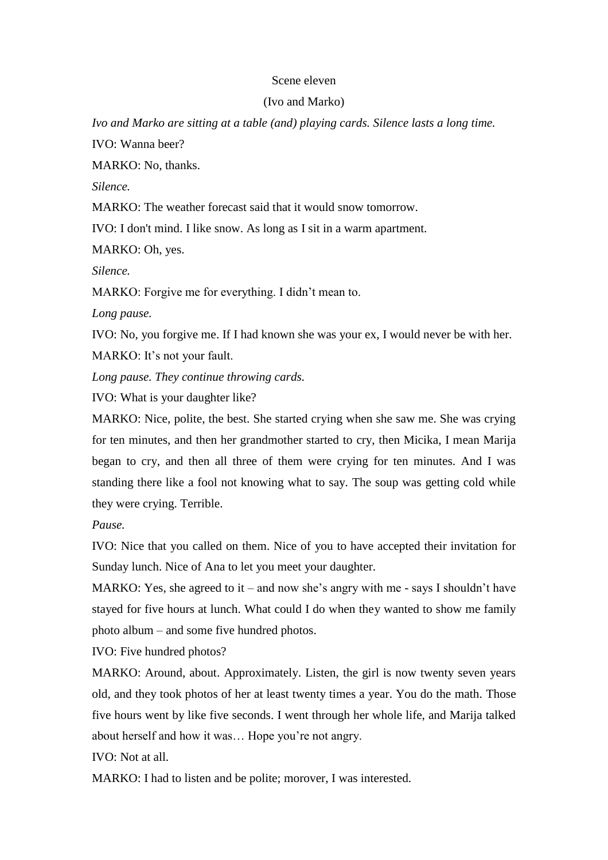## Scene eleven

## (Ivo and Marko)

*Ivo and Marko are sitting at a table (and) playing cards. Silence lasts a long time.*  IVO: Wanna beer?

MARKO: No, thanks.

*Silence.*

MARKO: The weather forecast said that it would snow tomorrow.

IVO: I don't mind. I like snow. As long as I sit in a warm apartment.

MARKO: Oh, yes.

*Silence.*

MARKO: Forgive me for everything. I didn't mean to.

*Long pause.*

IVO: No, you forgive me. If I had known she was your ex, I would never be with her. MARKO: It's not your fault.

*Long pause. They continue throwing cards.*

IVO: What is your daughter like?

MARKO: Nice, polite, the best. She started crying when she saw me. She was crying for ten minutes, and then her grandmother started to cry, then Micika, I mean Marija began to cry, and then all three of them were crying for ten minutes. And I was standing there like a fool not knowing what to say. The soup was getting cold while they were crying. Terrible.

*Pause.*

IVO: Nice that you called on them. Nice of you to have accepted their invitation for Sunday lunch. Nice of Ana to let you meet your daughter.

MARKO: Yes, she agreed to it – and now she's angry with me - says I shouldn't have stayed for five hours at lunch. What could I do when they wanted to show me family photo album – and some five hundred photos.

IVO: Five hundred photos?

MARKO: Around, about. Approximately. Listen, the girl is now twenty seven years old, and they took photos of her at least twenty times a year. You do the math. Those five hours went by like five seconds. I went through her whole life, and Marija talked about herself and how it was… Hope you're not angry.

IVO: Not at all.

MARKO: I had to listen and be polite; morover, I was interested.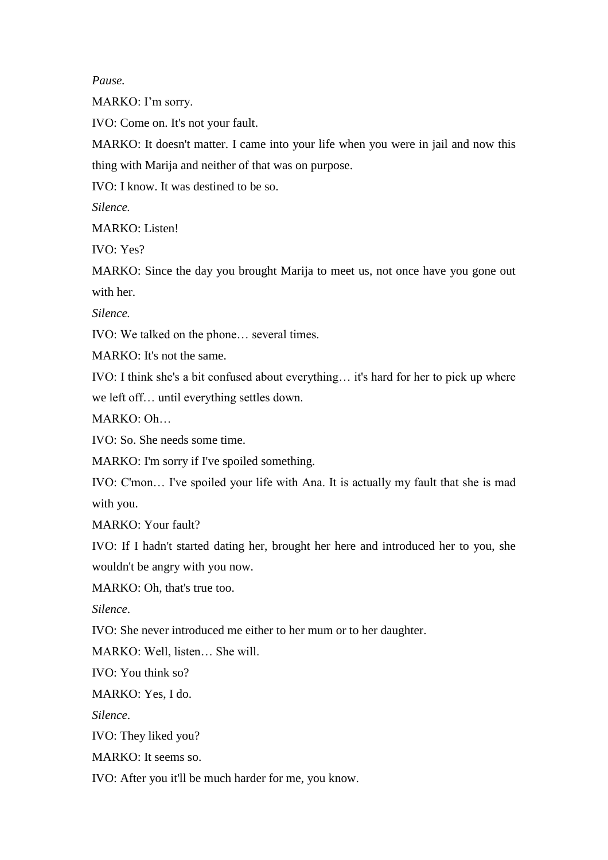*Pause.*

MARKO: I'm sorry.

IVO: Come on. It's not your fault.

MARKO: It doesn't matter. I came into your life when you were in jail and now this thing with Marija and neither of that was on purpose.

IVO: I know. It was destined to be so.

*Silence.* 

MARKO: Listen!

IVO: Yes?

MARKO: Since the day you brought Marija to meet us, not once have you gone out with her.

*Silence.* 

IVO: We talked on the phone… several times.

MARKO: It's not the same.

IVO: I think she's a bit confused about everything… it's hard for her to pick up where we left off… until everything settles down.

MARKO: Oh…

IVO: So. She needs some time.

MARKO: I'm sorry if I've spoiled something.

IVO: C'mon… I've spoiled your life with Ana. It is actually my fault that she is mad with you.

MARKO: Your fault?

IVO: If I hadn't started dating her, brought her here and introduced her to you, she wouldn't be angry with you now.

MARKO: Oh, that's true too.

*Silence*.

IVO: She never introduced me either to her mum or to her daughter.

MARKO: Well, listen… She will.

IVO: You think so?

MARKO: Yes, I do.

*Silence*.

IVO: They liked you?

MARKO: It seems so.

IVO: After you it'll be much harder for me, you know.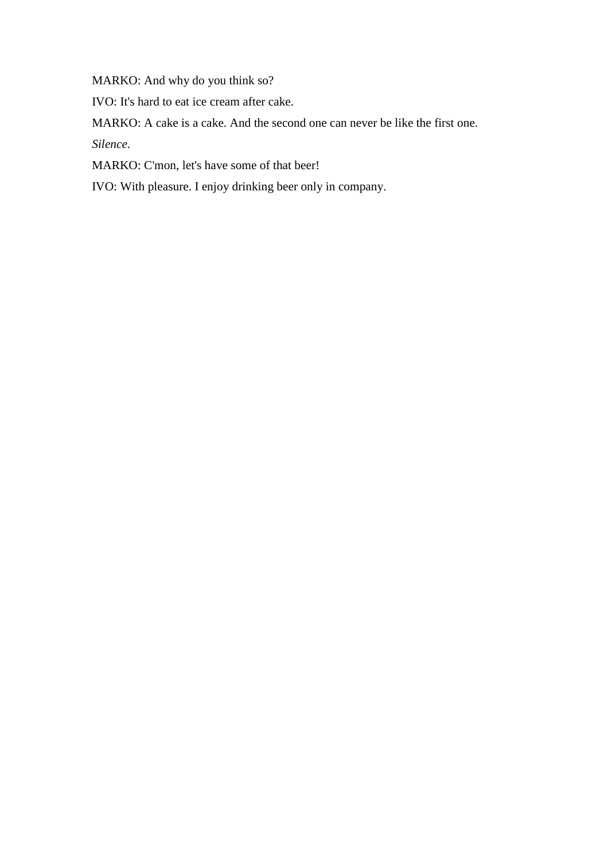MARKO: And why do you think so?

IVO: It's hard to eat ice cream after cake.

MARKO: A cake is a cake. And the second one can never be like the first one.

*Silence*.

MARKO: C'mon, let's have some of that beer!

IVO: With pleasure. I enjoy drinking beer only in company.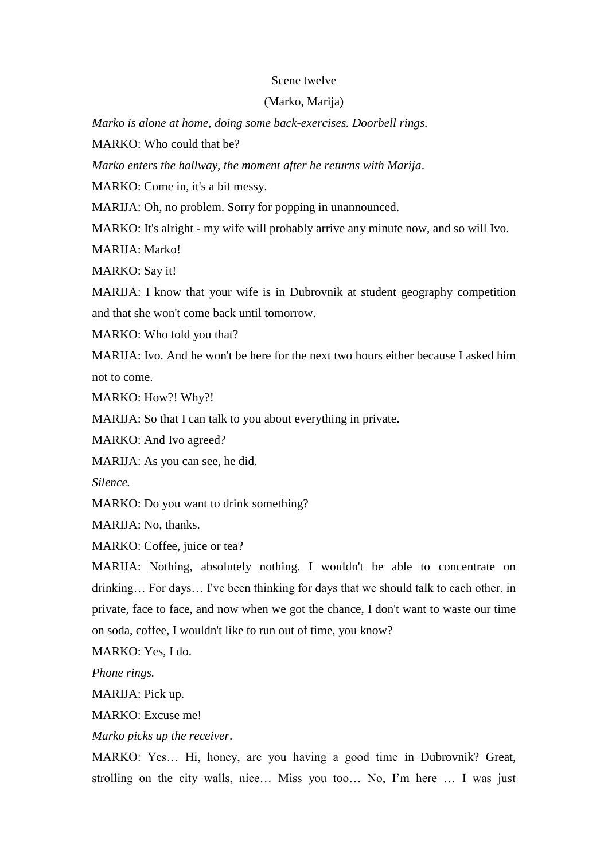#### Scene twelve

## (Marko, Marija)

*Marko is alone at home, doing some back-exercises. Doorbell rings.* 

MARKO: Who could that he?

*Marko enters the hallway, the moment after he returns with Marija*.

MARKO: Come in, it's a bit messy.

MARIJA: Oh, no problem. Sorry for popping in unannounced.

MARKO: It's alright - my wife will probably arrive any minute now, and so will Ivo.

MARIJA: Marko!

MARKO: Say it!

MARIJA: I know that your wife is in Dubrovnik at student geography competition and that she won't come back until tomorrow.

MARKO: Who told you that?

MARIJA: Ivo. And he won't be here for the next two hours either because I asked him not to come.

MARKO: How?! Why?!

MARIJA: So that I can talk to you about everything in private.

MARKO: And Ivo agreed?

MARIJA: As you can see, he did.

*Silence.* 

MARKO: Do you want to drink something?

MARIJA: No, thanks.

MARKO: Coffee, juice or tea?

MARIJA: Nothing, absolutely nothing. I wouldn't be able to concentrate on drinking… For days… I've been thinking for days that we should talk to each other, in private, face to face, and now when we got the chance, I don't want to waste our time on soda, coffee, I wouldn't like to run out of time, you know?

MARKO: Yes, I do.

*Phone rings.* 

MARIJA: Pick up.

MARKO: Excuse me!

*Marko picks up the receiver*.

MARKO: Yes… Hi, honey, are you having a good time in Dubrovnik? Great, strolling on the city walls, nice… Miss you too… No, I'm here … I was just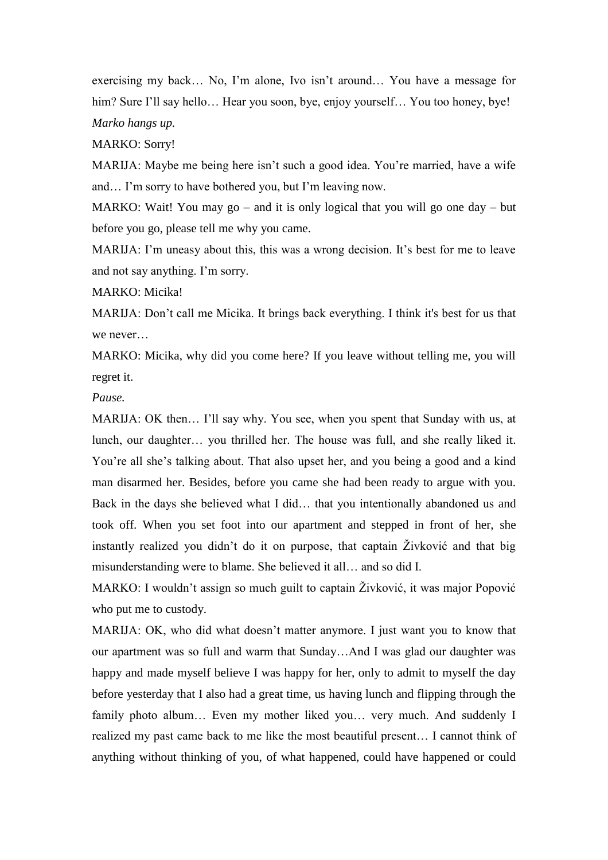exercising my back… No, I'm alone, Ivo isn't around… You have a message for him? Sure I'll say hello... Hear you soon, bye, enjoy yourself... You too honey, bye! *Marko hangs up.*

MARKO: Sorry!

MARIJA: Maybe me being here isn't such a good idea. You're married, have a wife and… I'm sorry to have bothered you, but I'm leaving now.

MARKO: Wait! You may  $g_0$  – and it is only logical that you will go one day – but before you go, please tell me why you came.

MARIJA: I'm uneasy about this, this was a wrong decision. It's best for me to leave and not say anything. I'm sorry.

MARKO: Micika!

MARIJA: Don't call me Micika. It brings back everything. I think it's best for us that we never…

MARKO: Micika, why did you come here? If you leave without telling me, you will regret it.

*Pause.*

MARIJA: OK then… I'll say why. You see, when you spent that Sunday with us, at lunch, our daughter… you thrilled her. The house was full, and she really liked it. You're all she's talking about. That also upset her, and you being a good and a kind man disarmed her. Besides, before you came she had been ready to argue with you. Back in the days she believed what I did… that you intentionally abandoned us and took off. When you set foot into our apartment and stepped in front of her, she instantly realized you didn't do it on purpose, that captain Živković and that big misunderstanding were to blame. She believed it all… and so did I.

MARKO: I wouldn't assign so much guilt to captain Živković, it was major Popović who put me to custody.

MARIJA: OK, who did what doesn't matter anymore. I just want you to know that our apartment was so full and warm that Sunday…And I was glad our daughter was happy and made myself believe I was happy for her, only to admit to myself the day before yesterday that I also had a great time, us having lunch and flipping through the family photo album... Even my mother liked you... very much. And suddenly I realized my past came back to me like the most beautiful present… I cannot think of anything without thinking of you, of what happened, could have happened or could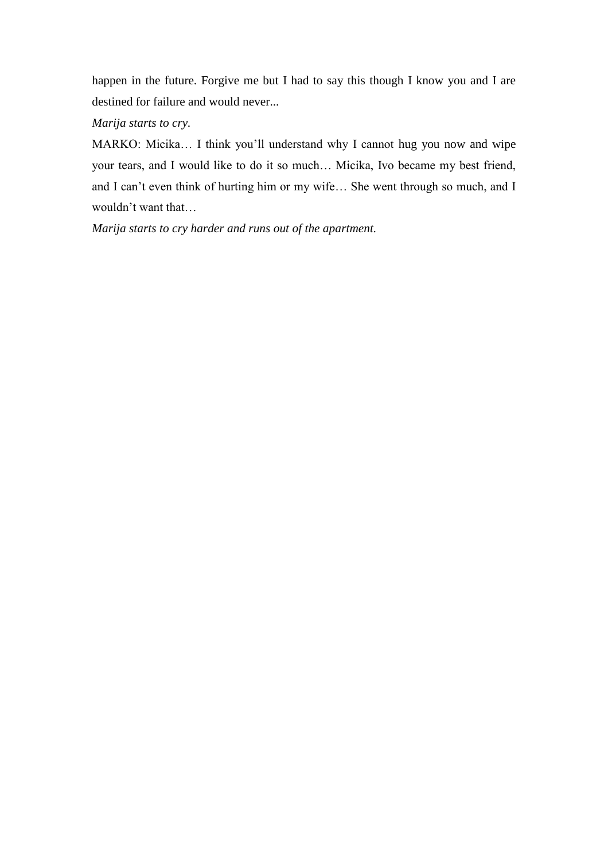happen in the future. Forgive me but I had to say this though I know you and I are destined for failure and would never...

*Marija starts to cry.*

MARKO: Micika… I think you'll understand why I cannot hug you now and wipe your tears, and I would like to do it so much… Micika, Ivo became my best friend, and I can't even think of hurting him or my wife… She went through so much, and I wouldn't want that…

*Marija starts to cry harder and runs out of the apartment.*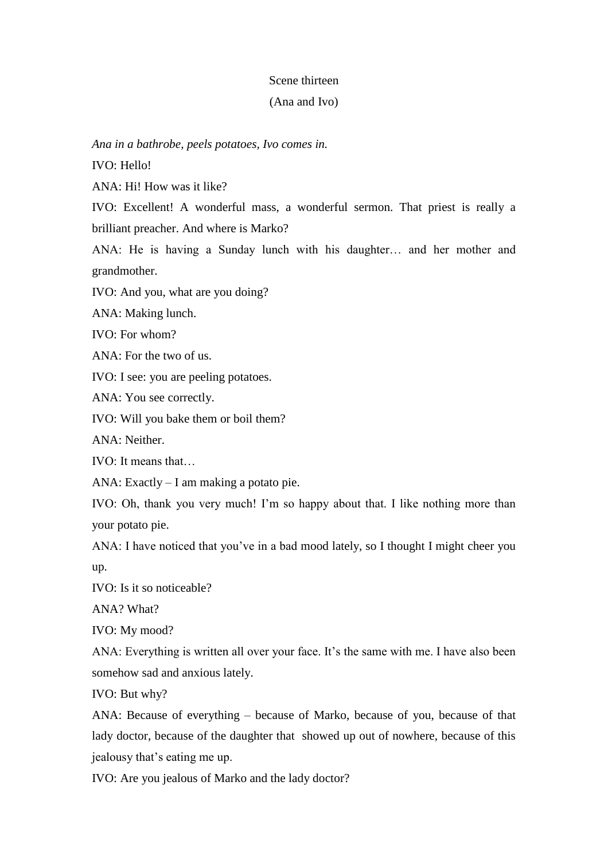## Scene thirteen

## (Ana and Ivo)

## *Ana in a bathrobe, peels potatoes, Ivo comes in.*

IVO: Hello!

ANA: Hi! How was it like?

IVO: Excellent! A wonderful mass, a wonderful sermon. That priest is really a brilliant preacher. And where is Marko?

ANA: He is having a Sunday lunch with his daughter… and her mother and grandmother.

IVO: And you, what are you doing?

ANA: Making lunch.

IVO: For whom?

ANA: For the two of us.

IVO: I see: you are peeling potatoes.

ANA: You see correctly.

IVO: Will you bake them or boil them?

ANA: Neither.

IVO: It means that…

ANA: Exactly – I am making a potato pie.

IVO: Oh, thank you very much! I'm so happy about that. I like nothing more than your potato pie.

ANA: I have noticed that you've in a bad mood lately, so I thought I might cheer you up.

IVO: Is it so noticeable?

ANA? What?

IVO: My mood?

ANA: Everything is written all over your face. It's the same with me. I have also been somehow sad and anxious lately.

IVO: But why?

ANA: Because of everything – because of Marko, because of you, because of that lady doctor, because of the daughter that showed up out of nowhere, because of this jealousy that's eating me up.

IVO: Are you jealous of Marko and the lady doctor?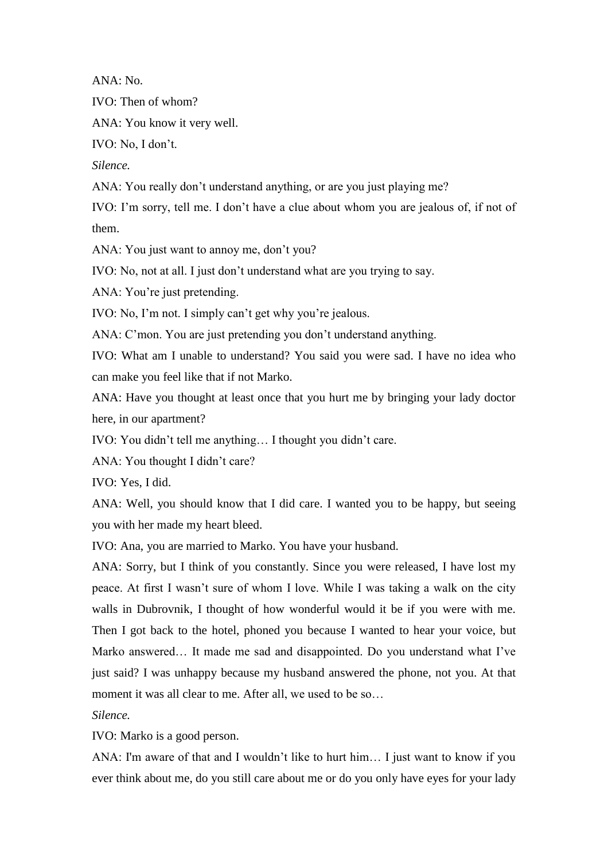ANA: No.

IVO: Then of whom?

ANA: You know it very well.

IVO: No, I don't.

*Silence.* 

ANA: You really don't understand anything, or are you just playing me?

IVO: I'm sorry, tell me. I don't have a clue about whom you are jealous of, if not of them.

ANA: You just want to annoy me, don't you?

IVO: No, not at all. I just don't understand what are you trying to say.

ANA: You're just pretending.

IVO: No, I'm not. I simply can't get why you're jealous.

ANA: C'mon. You are just pretending you don't understand anything.

IVO: What am I unable to understand? You said you were sad. I have no idea who can make you feel like that if not Marko.

ANA: Have you thought at least once that you hurt me by bringing your lady doctor here, in our apartment?

IVO: You didn't tell me anything… I thought you didn't care.

ANA: You thought I didn't care?

IVO: Yes, I did.

ANA: Well, you should know that I did care. I wanted you to be happy, but seeing you with her made my heart bleed.

IVO: Ana, you are married to Marko. You have your husband.

ANA: Sorry, but I think of you constantly. Since you were released, I have lost my peace. At first I wasn't sure of whom I love. While I was taking a walk on the city walls in Dubrovnik, I thought of how wonderful would it be if you were with me. Then I got back to the hotel, phoned you because I wanted to hear your voice, but Marko answered… It made me sad and disappointed. Do you understand what I've just said? I was unhappy because my husband answered the phone, not you. At that moment it was all clear to me. After all, we used to be so...

*Silence.* 

IVO: Marko is a good person.

ANA: I'm aware of that and I wouldn't like to hurt him… I just want to know if you ever think about me, do you still care about me or do you only have eyes for your lady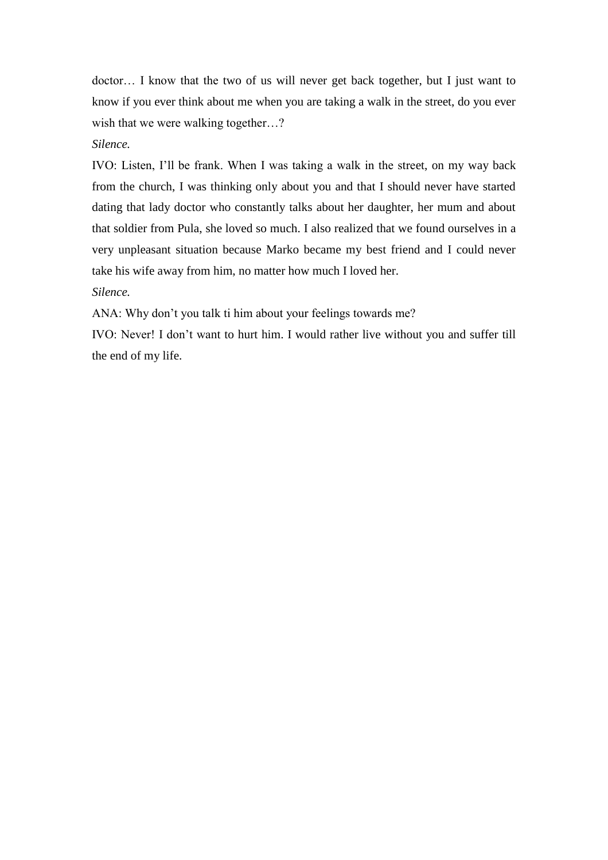doctor… I know that the two of us will never get back together, but I just want to know if you ever think about me when you are taking a walk in the street, do you ever wish that we were walking together...?

*Silence.* 

IVO: Listen, I'll be frank. When I was taking a walk in the street, on my way back from the church, I was thinking only about you and that I should never have started dating that lady doctor who constantly talks about her daughter, her mum and about that soldier from Pula, she loved so much. I also realized that we found ourselves in a very unpleasant situation because Marko became my best friend and I could never take his wife away from him, no matter how much I loved her.

*Silence.*

ANA: Why don't you talk ti him about your feelings towards me?

IVO: Never! I don't want to hurt him. I would rather live without you and suffer till the end of my life.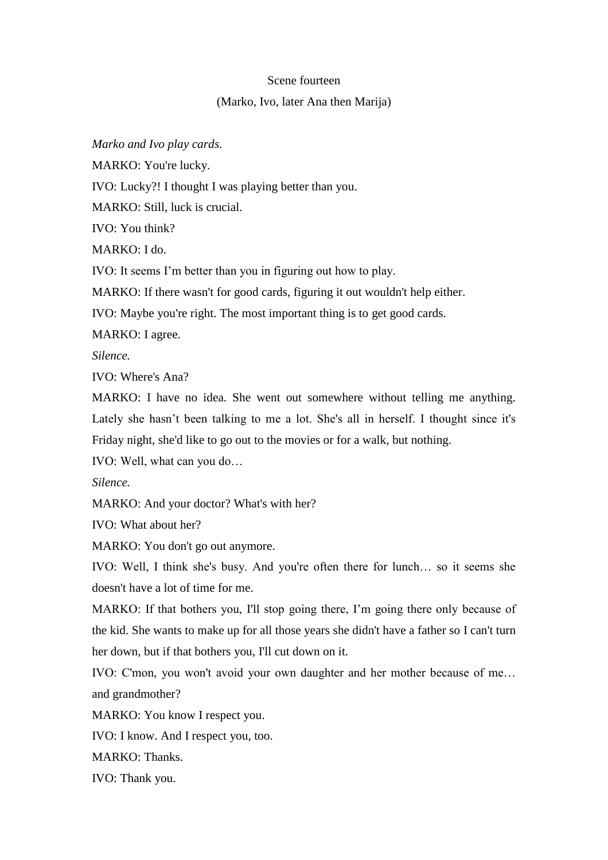## Scene fourteen

## (Marko, Ivo, later Ana then Marija)

*Marko and Ivo play cards.*

MARKO: You're lucky.

IVO: Lucky?! I thought I was playing better than you.

MARKO: Still, luck is crucial.

IVO: You think?

MARKO: I do.

IVO: It seems I'm better than you in figuring out how to play.

MARKO: If there wasn't for good cards, figuring it out wouldn't help either.

IVO: Maybe you're right. The most important thing is to get good cards.

MARKO: I agree.

*Silence.*

IVO: Where's Ana?

MARKO: I have no idea. She went out somewhere without telling me anything. Lately she hasn't been talking to me a lot. She's all in herself. I thought since it's Friday night, she'd like to go out to the movies or for a walk, but nothing.

IVO: Well, what can you do…

*Silence.*

MARKO: And your doctor? What's with her?

IVO: What about her?

MARKO: You don't go out anymore.

IVO: Well, I think she's busy. And you're often there for lunch… so it seems she doesn't have a lot of time for me.

MARKO: If that bothers you, I'll stop going there, I'm going there only because of the kid. She wants to make up for all those years she didn't have a father so I can't turn her down, but if that bothers you, I'll cut down on it.

IVO: C'mon, you won't avoid your own daughter and her mother because of me… and grandmother?

MARKO: You know I respect you.

IVO: I know. And I respect you, too.

MARKO: Thanks.

IVO: Thank you.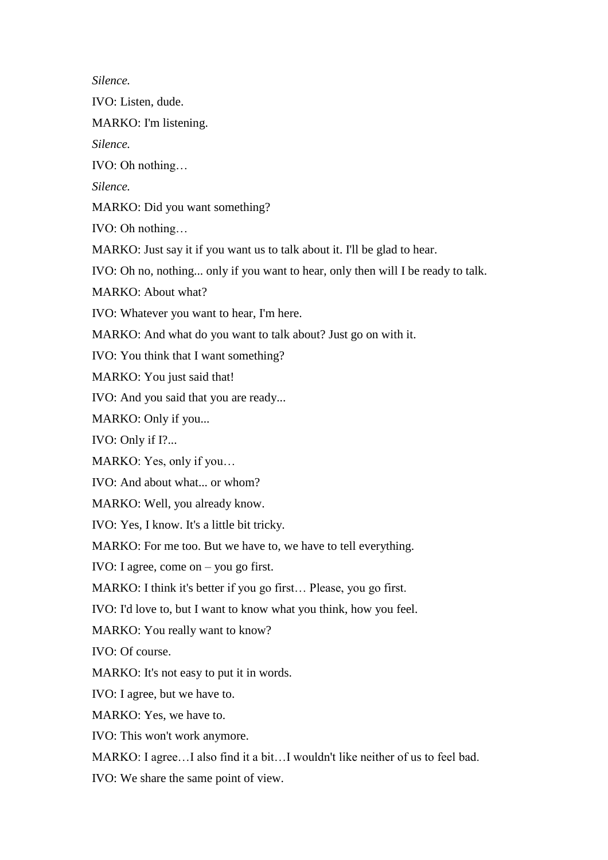*Silence.* 

IVO: Listen, dude.

MARKO: I'm listening.

*Silence.*

IVO: Oh nothing…

*Silence.*

MARKO: Did you want something?

IVO: Oh nothing…

MARKO: Just say it if you want us to talk about it. I'll be glad to hear.

IVO: Oh no, nothing... only if you want to hear, only then will I be ready to talk.

MARKO: About what?

IVO: Whatever you want to hear, I'm here.

MARKO: And what do you want to talk about? Just go on with it.

IVO: You think that I want something?

MARKO: You just said that!

IVO: And you said that you are ready...

MARKO: Only if you...

IVO: Only if I?...

MARKO: Yes, only if you…

IVO: And about what... or whom?

MARKO: Well, you already know.

IVO: Yes, I know. It's a little bit tricky.

MARKO: For me too. But we have to, we have to tell everything.

IVO: I agree, come on – you go first.

MARKO: I think it's better if you go first… Please, you go first.

IVO: I'd love to, but I want to know what you think, how you feel.

MARKO: You really want to know?

IVO: Of course.

MARKO: It's not easy to put it in words.

IVO: I agree, but we have to.

MARKO: Yes, we have to.

IVO: This won't work anymore.

MARKO: I agree…I also find it a bit…I wouldn't like neither of us to feel bad.

IVO: We share the same point of view.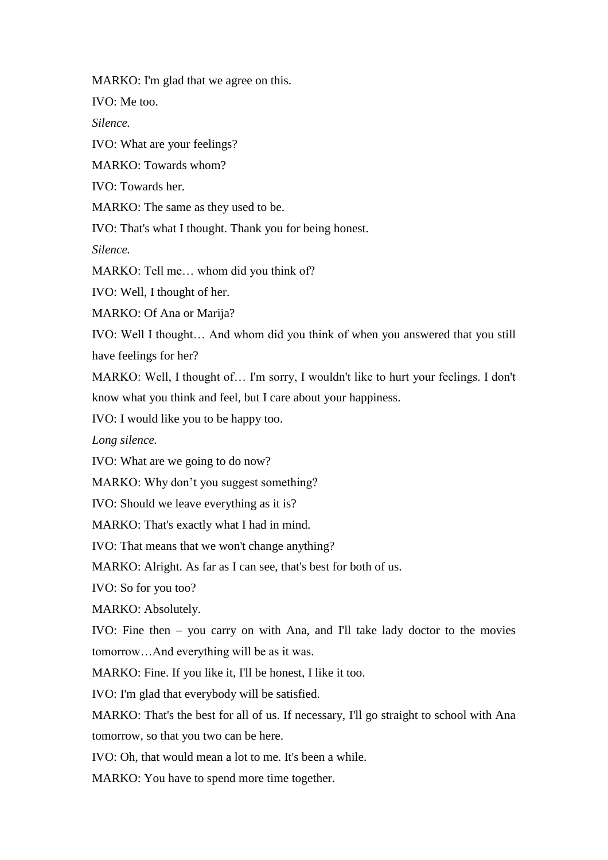MARKO: I'm glad that we agree on this.

IVO: Me too.

*Silence.* 

IVO: What are your feelings?

MARKO: Towards whom?

IVO: Towards her.

MARKO: The same as they used to be.

IVO: That's what I thought. Thank you for being honest.

*Silence.* 

MARKO: Tell me… whom did you think of?

IVO: Well, I thought of her.

MARKO: Of Ana or Marija?

IVO: Well I thought… And whom did you think of when you answered that you still have feelings for her?

MARKO: Well, I thought of… I'm sorry, I wouldn't like to hurt your feelings. I don't know what you think and feel, but I care about your happiness.

IVO: I would like you to be happy too.

*Long silence.* 

IVO: What are we going to do now?

MARKO: Why don't you suggest something?

IVO: Should we leave everything as it is?

MARKO: That's exactly what I had in mind.

IVO: That means that we won't change anything?

MARKO: Alright. As far as I can see, that's best for both of us.

IVO: So for you too?

MARKO: Absolutely.

IVO: Fine then – you carry on with Ana, and I'll take lady doctor to the movies tomorrow…And everything will be as it was.

MARKO: Fine. If you like it, I'll be honest, I like it too.

IVO: I'm glad that everybody will be satisfied.

MARKO: That's the best for all of us. If necessary, I'll go straight to school with Ana tomorrow, so that you two can be here.

IVO: Oh, that would mean a lot to me. It's been a while.

MARKO: You have to spend more time together.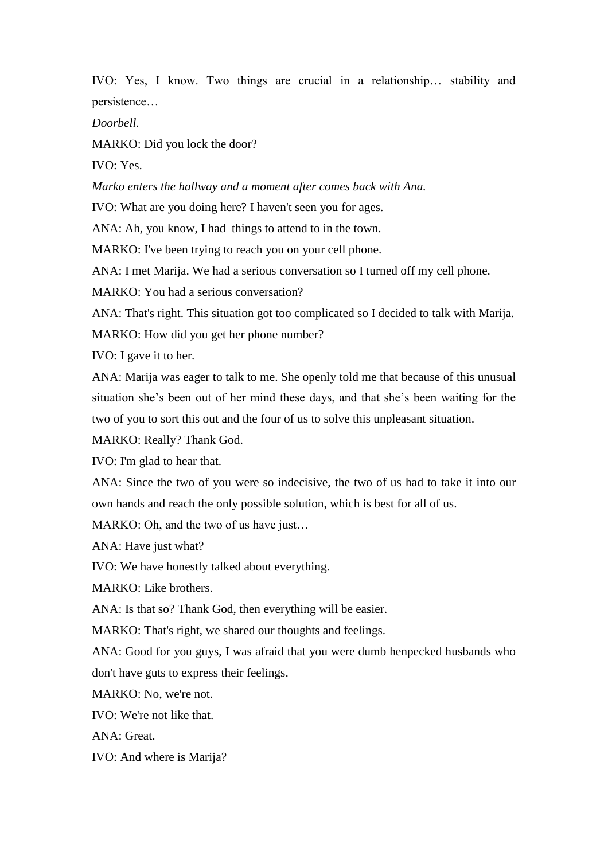IVO: Yes, I know. Two things are crucial in a relationship… stability and persistence…

*Doorbell.*

MARKO: Did you lock the door?

IVO: Yes.

*Marko enters the hallway and a moment after comes back with Ana.*

IVO: What are you doing here? I haven't seen you for ages.

ANA: Ah, you know, I had things to attend to in the town.

MARKO: I've been trying to reach you on your cell phone.

ANA: I met Marija. We had a serious conversation so I turned off my cell phone.

MARKO: You had a serious conversation?

ANA: That's right. This situation got too complicated so I decided to talk with Marija.

MARKO: How did you get her phone number?

IVO: I gave it to her.

ANA: Marija was eager to talk to me. She openly told me that because of this unusual situation she's been out of her mind these days, and that she's been waiting for the two of you to sort this out and the four of us to solve this unpleasant situation.

MARKO: Really? Thank God.

IVO: I'm glad to hear that.

ANA: Since the two of you were so indecisive, the two of us had to take it into our own hands and reach the only possible solution, which is best for all of us.

MARKO: Oh, and the two of us have just...

ANA: Have just what?

IVO: We have honestly talked about everything.

MARKO: Like brothers.

ANA: Is that so? Thank God, then everything will be easier.

MARKO: That's right, we shared our thoughts and feelings.

ANA: Good for you guys, I was afraid that you were dumb henpecked husbands who don't have guts to express their feelings.

MARKO: No, we're not.

IVO: We're not like that.

ANA: Great.

IVO: And where is Marija?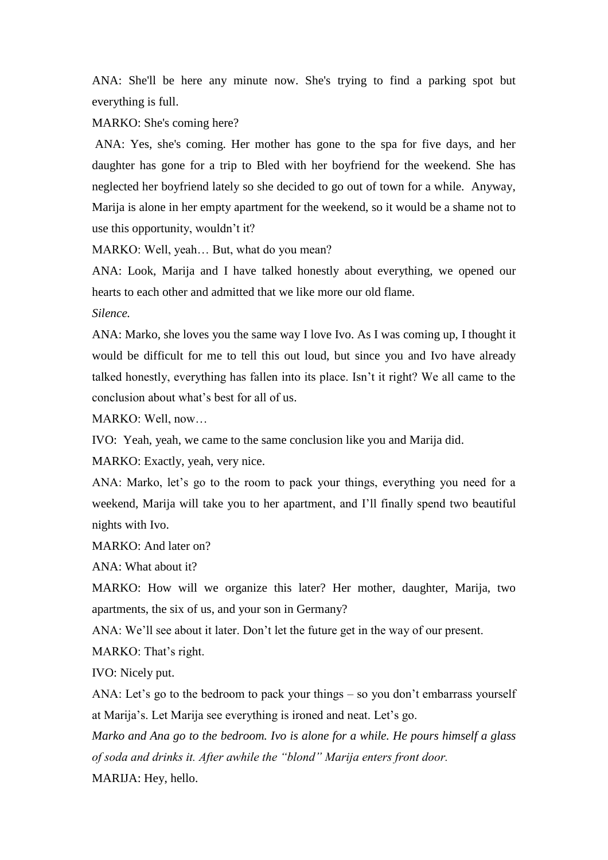ANA: She'll be here any minute now. She's trying to find a parking spot but everything is full.

MARKO: She's coming here?

ANA: Yes, she's coming. Her mother has gone to the spa for five days, and her daughter has gone for a trip to Bled with her boyfriend for the weekend. She has neglected her boyfriend lately so she decided to go out of town for a while. Anyway, Marija is alone in her empty apartment for the weekend, so it would be a shame not to use this opportunity, wouldn't it?

MARKO: Well, yeah… But, what do you mean?

ANA: Look, Marija and I have talked honestly about everything, we opened our hearts to each other and admitted that we like more our old flame.

*Silence.*

ANA: Marko, she loves you the same way I love Ivo. As I was coming up, I thought it would be difficult for me to tell this out loud, but since you and Ivo have already talked honestly, everything has fallen into its place. Isn't it right? We all came to the conclusion about what's best for all of us.

MARKO: Well, now…

IVO: Yeah, yeah, we came to the same conclusion like you and Marija did.

MARKO: Exactly, yeah, very nice.

ANA: Marko, let's go to the room to pack your things, everything you need for a weekend, Marija will take you to her apartment, and I'll finally spend two beautiful nights with Ivo.

MARKO: And later on?

ANA: What about it?

MARKO: How will we organize this later? Her mother, daughter, Marija, two apartments, the six of us, and your son in Germany?

ANA: We'll see about it later. Don't let the future get in the way of our present.

MARKO: That's right.

IVO: Nicely put.

ANA: Let's go to the bedroom to pack your things – so you don't embarrass yourself at Marija's. Let Marija see everything is ironed and neat. Let's go.

*Marko and Ana go to the bedroom. Ivo is alone for a while. He pours himself a glass of soda and drinks it. After awhile the "blond" Marija enters front door.*

MARIJA: Hey, hello.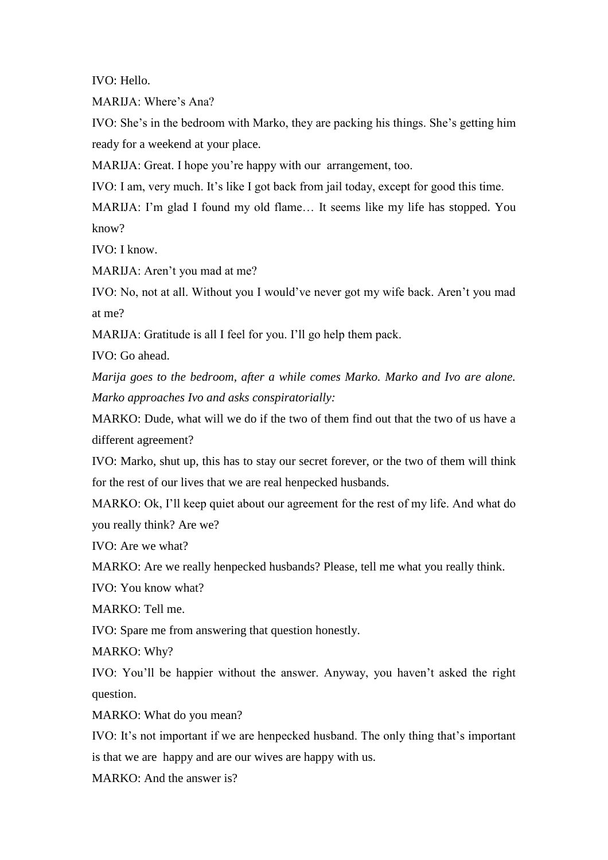IVO: Hello.

MARIJA: Where's Ana?

IVO: She's in the bedroom with Marko, they are packing his things. She's getting him ready for a weekend at your place.

MARIJA: Great. I hope you're happy with our arrangement, too.

IVO: I am, very much. It's like I got back from jail today, except for good this time.

MARIJA: I'm glad I found my old flame… It seems like my life has stopped. You know?

IVO: I know.

MARIJA: Aren't you mad at me?

IVO: No, not at all. Without you I would've never got my wife back. Aren't you mad at me?

MARIJA: Gratitude is all I feel for you. I'll go help them pack.

IVO: Go ahead.

*Marija goes to the bedroom, after a while comes Marko. Marko and Ivo are alone. Marko approaches Ivo and asks conspiratorially:*

MARKO: Dude, what will we do if the two of them find out that the two of us have a different agreement?

IVO: Marko, shut up, this has to stay our secret forever, or the two of them will think for the rest of our lives that we are real henpecked husbands.

MARKO: Ok, I'll keep quiet about our agreement for the rest of my life. And what do you really think? Are we?

IVO: Are we what?

MARKO: Are we really henpecked husbands? Please, tell me what you really think.

IVO: You know what?

MARKO: Tell me.

IVO: Spare me from answering that question honestly.

MARKO: Why?

IVO: You'll be happier without the answer. Anyway, you haven't asked the right question.

MARKO: What do you mean?

IVO: It's not important if we are henpecked husband. The only thing that's important is that we are happy and are our wives are happy with us.

MARKO: And the answer is?